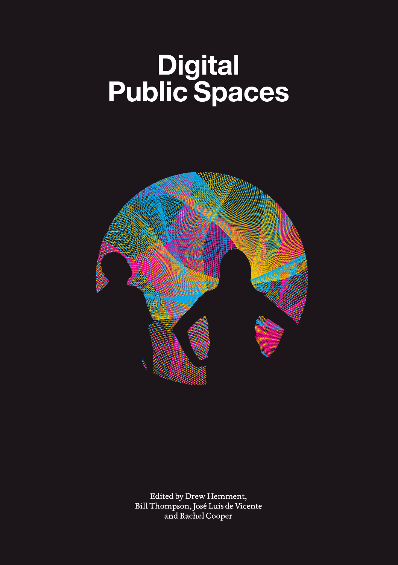# Digital<br>Public Spaces



Edited by Drew Hemment, Bill Thompson, José Luis de Vicente and Rachel Cooper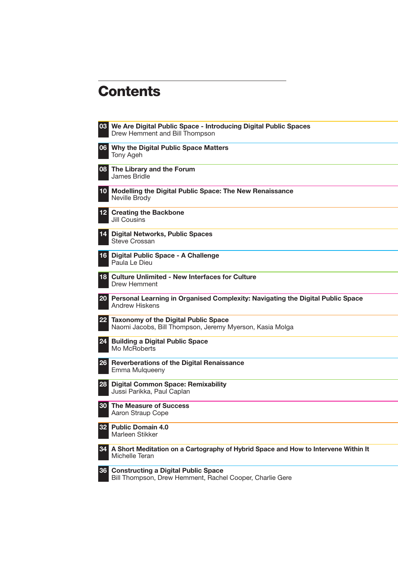# **Contents**

|      | 08 We Are Digital Public Space - Introducing Digital Public Spaces<br>Drew Hemment and Bill Thompson     |
|------|----------------------------------------------------------------------------------------------------------|
|      | 06 Why the Digital Public Space Matters<br>Tony Ageh                                                     |
| 08 I | The Library and the Forum<br>James Bridle                                                                |
| 10   | Modelling the Digital Public Space: The New Renaissance<br>Neville Brody                                 |
|      | <b>12</b> Creating the Backbone<br>Jill Cousins                                                          |
| 14   | <b>Digital Networks, Public Spaces</b><br>Steve Crossan                                                  |
| 16   | Digital Public Space - A Challenge<br>Paula Le Dieu                                                      |
| 18   | <b>Culture Unlimited - New Interfaces for Culture</b><br>Drew Hemment                                    |
|      | 20 Personal Learning in Organised Complexity: Navigating the Digital Public Space<br>Andrew Hiskens      |
| 22   | <b>Taxonomy of the Digital Public Space</b><br>Naomi Jacobs, Bill Thompson, Jeremy Myerson, Kasia Molga  |
| 24   | <b>Building a Digital Public Space</b><br>Mo McRoberts                                                   |
| 26   | Reverberations of the Digital Renaissance<br>Emma Mulqueeny                                              |
| 28   | <b>Digital Common Space: Remixability</b><br>Jussi Parikka, Paul Caplan                                  |
| 30   | The Measure of Success<br>Aaron Straup Cope                                                              |
| 32   | <b>Public Domain 4.0</b><br>Marleen Stikker                                                              |
|      | 64. A Short Meditation on a Cartography of Hybrid Space and How to Intervene Within It<br>Michelle Teran |
| 36   | <b>Constructing a Digital Public Space</b><br>Bill Thompson, Drew Hemment, Rachel Cooper, Charlie Gere   |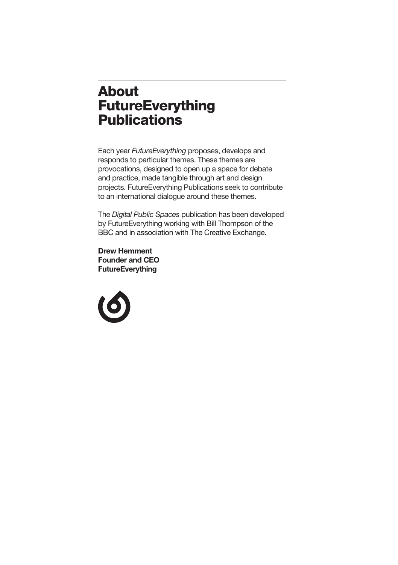# **About FutureEverything Publications**

Each year *FutureEverything* proposes, develops and responds to particular themes. These themes are provocations, designed to open up a space for debate and practice, made tangible through art and design projects. FutureEverything Publications seek to contribute to an international dialogue around these themes.

The *Digital Public Spaces* publication has been developed by FutureEverything working with Bill Thompson of the BBC and in association with The Creative Exchange.

**Drew Hemment Founder and CEO FutureEverything**

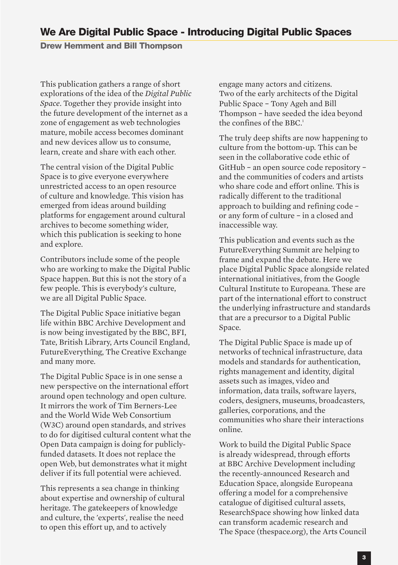**Drew Hemment and Bill Thompson**

This publication gathers a range of short explorations of the idea of the *Digital Public Space*. Together they provide insight into the future development of the internet as a zone of engagement as web technologies mature, mobile access becomes dominant and new devices allow us to consume, learn, create and share with each other.

The central vision of the Digital Public Space is to give everyone everywhere unrestricted access to an open resource of culture and knowledge. This vision has emerged from ideas around building platforms for engagement around cultural archives to become something wider, which this publication is seeking to hone and explore.

Contributors include some of the people who are working to make the Digital Public Space happen. But this is not the story of a few people. This is everybody's culture, we are all Digital Public Space.

The Digital Public Space initiative began life within BBC Archive Development and is now being investigated by the BBC, BFI, Tate, British Library, Arts Council England, FutureEverything, The Creative Exchange and many more.

The Digital Public Space is in one sense a new perspective on the international effort around open technology and open culture. It mirrors the work of Tim Berners-Lee and the World Wide Web Consortium (W3C) around open standards, and strives to do for digitised cultural content what the Open Data campaign is doing for publiclyfunded datasets. It does not replace the open Web, but demonstrates what it might deliver if its full potential were achieved.

This represents a sea change in thinking about expertise and ownership of cultural heritage. The gatekeepers of knowledge and culture, the 'experts', realise the need to open this effort up, and to actively

engage many actors and citizens. Two of the early architects of the Digital Public Space – Tony Ageh and Bill Thompson – have seeded the idea beyond the confines of the BBC. 1

The truly deep shifts are now happening to culture from the bottom-up. This can be seen in the collaborative code ethic of GitHub – an open source code repository – and the communities of coders and artists who share code and effort online. This is radically different to the traditional approach to building and refining code – or any form of culture – in a closed and inaccessible way.

This publication and events such as the FutureEverything Summit are helping to frame and expand the debate. Here we place Digital Public Space alongside related international initiatives, from the Google Cultural Institute to Europeana. These are part of the international effort to construct the underlying infrastructure and standards that are a precursor to a Digital Public Space.

The Digital Public Space is made up of networks of technical infrastructure, data models and standards for authentication, rights management and identity, digital assets such as images, video and information, data trails, software layers, coders, designers, museums, broadcasters, galleries, corporations, and the communities who share their interactions online.

Work to build the Digital Public Space is already widespread, through efforts at BBC Archive Development including the recently-announced Research and Education Space, alongside Europeana offering a model for a comprehensive catalogue of digitised cultural assets, ResearchSpace showing how linked data can transform academic research and The Space (thespace.org), the Arts Council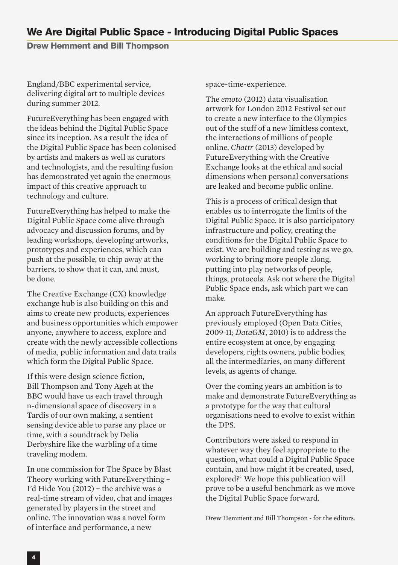### **We Are Digital Public Space - Introducing Digital Public Spaces**

**Drew Hemment and Bill Thompson**

England/BBC experimental service, delivering digital art to multiple devices during summer 2012.

FutureEverything has been engaged with the ideas behind the Digital Public Space since its inception. As a result the idea of the Digital Public Space has been colonised by artists and makers as well as curators and technologists, and the resulting fusion has demonstrated yet again the enormous impact of this creative approach to technology and culture.

FutureEverything has helped to make the Digital Public Space come alive through advocacy and discussion forums, and by leading workshops, developing artworks, prototypes and experiences, which can push at the possible, to chip away at the barriers, to show that it can, and must, be done.

The Creative Exchange (CX) knowledge exchange hub is also building on this and aims to create new products, experiences and business opportunities which empower anyone, anywhere to access, explore and create with the newly accessible collections of media, public information and data trails which form the Digital Public Space.

If this were design science fiction, Bill Thompson and Tony Ageh at the BBC would have us each travel through n-dimensional space of discovery in a Tardis of our own making, a sentient sensing device able to parse any place or time, with a soundtrack by Delia Derbyshire like the warbling of a time traveling modem.

In one commission for The Space by Blast Theory working with FutureEverything – I'd Hide You (2012) – the archive was a real-time stream of video, chat and images generated by players in the street and online. The innovation was a novel form of interface and performance, a new

space-time-experience.

The *emoto* (2012) data visualisation artwork for London 2012 Festival set out to create a new interface to the Olympics out of the stuff of a new limitless context, the interactions of millions of people online. *Chattr* (2013) developed by FutureEverything with the Creative Exchange looks at the ethical and social dimensions when personal conversations are leaked and become public online.

This is a process of critical design that enables us to interrogate the limits of the Digital Public Space. It is also participatory infrastructure and policy, creating the conditions for the Digital Public Space to exist. We are building and testing as we go, working to bring more people along, putting into play networks of people, things, protocols. Ask not where the Digital Public Space ends, ask which part we can make.

An approach FutureEverything has previously employed (Open Data Cities, 2009-11; *DataGM*, 2010) is to address the entire ecosystem at once, by engaging developers, rights owners, public bodies, all the intermediaries, on many different levels, as agents of change.

Over the coming years an ambition is to make and demonstrate FutureEverything as a prototype for the way that cultural organisations need to evolve to exist within the DPS.

Contributors were asked to respond in whatever way they feel appropriate to the question, what could a Digital Public Space contain, and how might it be created, used, explored? <sup>2</sup> We hope this publication will prove to be a useful benchmark as we move the Digital Public Space forward.

Drew Hemment and Bill Thompson - for the editors.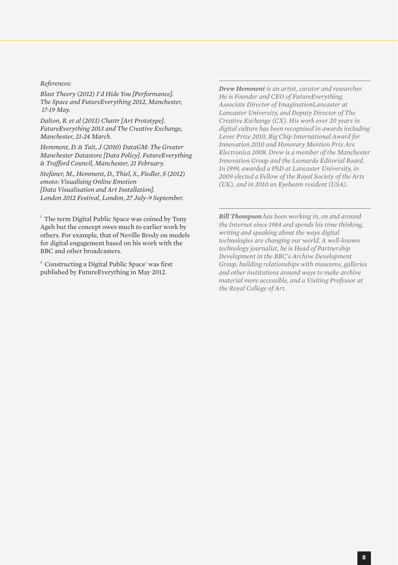#### *References:*

*Blast Theory (2012) I'd Hide You [Performance]. The Space and FutureEverything 2012, Manchester, 17-19 May.*

*Dalton, B. et al (2013) Chattr [Art Prototype]. FutureEverything 2013 and The Creative Exchange, Manchester, 21-24 March.*

*Hemment, D. & Tait, J (2010) DataGM: The Greater Manchester Datastore [Data Policy]. FutureEverything & Trafford Council, Manchester, 21 February.*

*Stefaner, M., Hemment, D., Thiel, S., Fiedler, S (2012) emoto: Visualising Online Emotion [Data Visualisation and Art Installation]. London 2012 Festival, London, 27 July-9 September.*

<sup>1</sup> The term Digital Public Space was coined by Tony Ageh but the concept owes much to earlier work by others. For example, that of Neville Brody on models for digital engagement based on his work with the BBC and other broadcasters.

<sup>2</sup> Constructing a Digital Public Space' was first published by FutureEverything in May 2012.

*Drew Hemment is an artist, curator and researcher. He is Founder and CEO of FutureEverything, Associate Director of ImaginationLancaster at Lancaster University, and Deputy Director of The Creative Exchange (CX). His work over 20 years in digital culture has been recognised in awards including Lever Prize 2010, Big Chip International Award for Innovation 2010 and Honorary Mention Prix Ars Electronica 2008. Drew is a member of the Manchester Innovation Group and the Leonardo Editorial Board. In 1999, awarded a PhD at Lancaster University, in 2009 elected a Fellow of the Royal Society of the Arts (UK), and in 2010 an Eyebeam resident (USA).*

*Bill Thompson has been working in, on and around the Internet since 1984 and spends his time thinking, writing and speaking about the ways digital technologies are changing our world. A well-known technology journalist, he is Head of Partnership Development in the BBC's Archive Development Group, building relationships with museums, galleries and other institutions around ways to make archive material more accessible, and a Visiting Professor at the Royal College of Art.*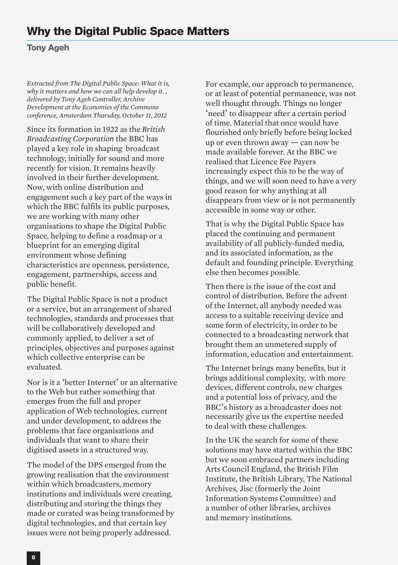# **Why the Digital Public Space Matters**

**Tony Ageh**

*Extracted from The Digital Public Space: What it is, why it matters and how we can all help develop it. , delivered by Tony Ageh Controller, Archive Development at the Economies of the Commons conference, Amsterdam Thursday, October 11, 2012*

Since its formation in 1922 as the *British Broadcasting Corporation* the BBC has played a key role in shaping broadcast technology, initially for sound and more recently for vision. It remains heavily involved in their further development. Now, with online distribution and engagement such a key part of the ways in which the BBC fulfils its public purposes, we are working with many other organisations to shape the Digital Public Space, helping to define a roadmap or a blueprint for an emerging digital environment whose defining characteristics are openness, persistence, engagement, partnerships, access and public benefit.

The Digital Public Space is not a product or a service, but an arrangement of shared technologies, standards and processes that will be collaboratively developed and commonly applied, to deliver a set of principles, objectives and purposes against which collective enterprise can be evaluated.

Nor is it a 'better Internet' or an alternative to the Web but rather something that emerges from the full and proper application of Web technologies, current and under development, to address the problems that face organisations and individuals that want to share their digitised assets in a structured way.

The model of the DPS emerged from the growing realisation that the environment within which broadcasters, memory institutions and individuals were creating, distributing and storing the things they made or curated was being transformed by digital technologies, and that certain key issues were not being properly addressed.

For example, our approach to permanence, or at least of potential permanence, was not well thought through. Things no longer 'need' to disappear after a certain period of time. Material that once would have flourished only briefly before being locked up or even thrown away — can now be made available forever. At the BBC we realised that Licence Fee Payers increasingly expect this to be the way of things, and we will soon need to have a very good reason for why anything at all disappears from view or is not permanently accessible in some way or other.

That is why the Digital Public Space has placed the continuing and permanent availability of all publicly-funded media, and its associated information, as the default and founding principle. Everything else then becomes possible.

Then there is the issue of the cost and control of distribution. Before the advent of the Internet, all anybody needed was access to a suitable receiving device and some form of electricity, in order to be connected to a broadcasting network that brought them an unmetered supply of information, education and entertainment.

The Internet brings many benefits, but it brings additional complexity, with more devices, different controls, new charges and a potential loss of privacy, and the BBC's history as a broadcaster does not necessarily give us the expertise needed to deal with these challenges.

In the UK the search for some of these solutions may have started within the BBC but we soon embraced partners including Arts Council England, the British Film Institute, the British Library, The National Archives, Jisc (formerly the Joint Information Systems Committee) and a number of other libraries, archives and memory institutions.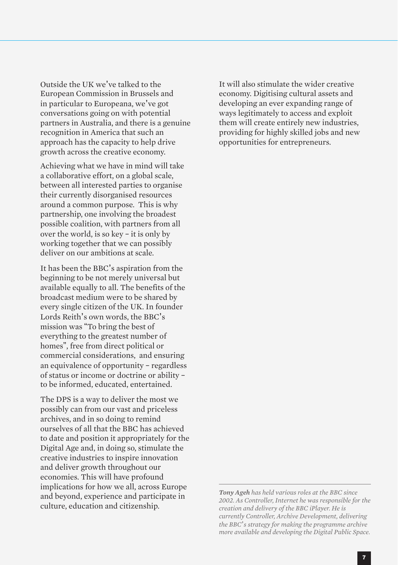Outside the UK we've talked to the European Commission in Brussels and in particular to Europeana, we've got conversations going on with potential partners in Australia, and there is a genuine recognition in America that such an approach has the capacity to help drive growth across the creative economy.

Achieving what we have in mind will take a collaborative effort, on a global scale, between all interested parties to organise their currently disorganised resources around a common purpose. This is why partnership, one involving the broadest possible coalition, with partners from all over the world, is so key – it is only by working together that we can possibly deliver on our ambitions at scale.

It has been the BBC's aspiration from the beginning to be not merely universal but available equally to all. The benefits of the broadcast medium were to be shared by every single citizen of the UK. In founder Lords Reith's own words, the BBC's mission was "To bring the best of everything to the greatest number of homes", free from direct political or commercial considerations, and ensuring an equivalence of opportunity – regardless of status or income or doctrine or ability – to be informed, educated, entertained.

The DPS is a way to deliver the most we possibly can from our vast and priceless archives, and in so doing to remind ourselves of all that the BBC has achieved to date and position it appropriately for the Digital Age and, in doing so, stimulate the creative industries to inspire innovation and deliver growth throughout our economies. This will have profound implications for how we all, across Europe and beyond, experience and participate in culture, education and citizenship.

It will also stimulate the wider creative economy. Digitising cultural assets and developing an ever expanding range of ways legitimately to access and exploit them will create entirely new industries, providing for highly skilled jobs and new opportunities for entrepreneurs.

*Tony Ageh has held various roles at the BBC since 2002. As Controller, Internet he was responsible for the creation and delivery of the BBC iPlayer. He is currently Controller, Archive Development, delivering the BBC*'*s strategy for making the programme archive more available and developing the Digital Public Space.*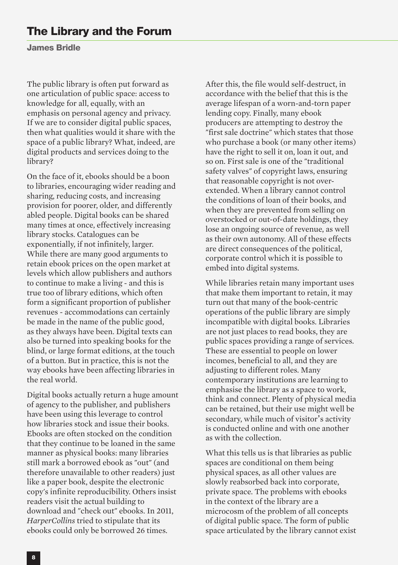#### **James Bridle**

The public library is often put forward as one articulation of public space: access to knowledge for all, equally, with an emphasis on personal agency and privacy. If we are to consider digital public spaces, then what qualities would it share with the space of a public library? What, indeed, are digital products and services doing to the library?

On the face of it, ebooks should be a boon to libraries, encouraging wider reading and sharing, reducing costs, and increasing provision for poorer, older, and differently abled people. Digital books can be shared many times at once, effectively increasing library stocks. Catalogues can be exponentially, if not infinitely, larger. While there are many good arguments to retain ebook prices on the open market at levels which allow publishers and authors to continue to make a living - and this is true too of library editions, which often form a significant proportion of publisher revenues - accommodations can certainly be made in the name of the public good, as they always have been. Digital texts can also be turned into speaking books for the blind, or large format editions, at the touch of a button. But in practice, this is not the way ebooks have been affecting libraries in the real world.

Digital books actually return a huge amount of agency to the publisher, and publishers have been using this leverage to control how libraries stock and issue their books. Ebooks are often stocked on the condition that they continue to be loaned in the same manner as physical books: many libraries still mark a borrowed ebook as "out" (and therefore unavailable to other readers) just like a paper book, despite the electronic copy's infinite reproducibility. Others insist readers visit the actual building to download and "check out" ebooks. In 2011, *HarperCollins* tried to stipulate that its ebooks could only be borrowed 26 times.

After this, the file would self-destruct, in accordance with the belief that this is the average lifespan of a worn-and-torn paper lending copy. Finally, many ebook producers are attempting to destroy the "first sale doctrine" which states that those who purchase a book (or many other items) have the right to sell it on, loan it out, and so on. First sale is one of the "traditional safety valves" of copyright laws, ensuring that reasonable copyright is not overextended. When a library cannot control the conditions of loan of their books, and when they are prevented from selling on overstocked or out-of-date holdings, they lose an ongoing source of revenue, as well as their own autonomy. All of these effects are direct consequences of the political, corporate control which it is possible to embed into digital systems.

While libraries retain many important uses that make them important to retain, it may turn out that many of the book-centric operations of the public library are simply incompatible with digital books. Libraries are not just places to read books, they are public spaces providing a range of services. These are essential to people on lower incomes, beneficial to all, and they are adjusting to different roles. Many contemporary institutions are learning to emphasise the library as a space to work, think and connect. Plenty of physical media can be retained, but their use might well be secondary, while much of visitor's activity is conducted online and with one another as with the collection.

What this tells us is that libraries as public spaces are conditional on them being physical spaces, as all other values are slowly reabsorbed back into corporate, private space. The problems with ebooks in the context of the library are a microcosm of the problem of all concepts of digital public space. The form of public space articulated by the library cannot exist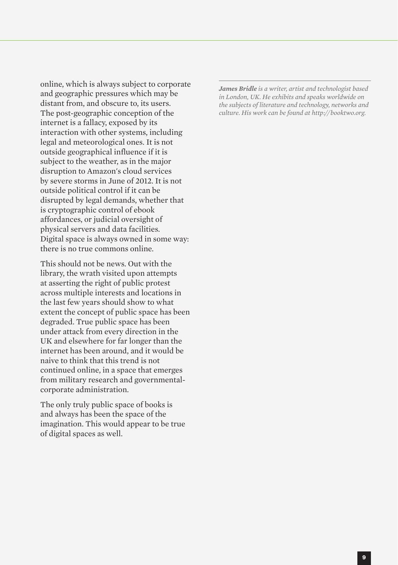online, which is always subject to corporate and geographic pressures which may be distant from, and obscure to, its users. The post-geographic conception of the internet is a fallacy, exposed by its interaction with other systems, including legal and meteorological ones. It is not outside geographical influence if it is subject to the weather, as in the major disruption to Amazon's cloud services by severe storms in June of 2012. It is not outside political control if it can be disrupted by legal demands, whether that is cryptographic control of ebook affordances, or judicial oversight of physical servers and data facilities. Digital space is always owned in some way: there is no true commons online.

This should not be news. Out with the library, the wrath visited upon attempts at asserting the right of public protest across multiple interests and locations in the last few years should show to what extent the concept of public space has been degraded. True public space has been under attack from every direction in the UK and elsewhere for far longer than the internet has been around, and it would be naive to think that this trend is not continued online, in a space that emerges from military research and governmentalcorporate administration.

The only truly public space of books is and always has been the space of the imagination. This would appear to be true of digital spaces as well.

*James Bridle is a writer, artist and technologist based in London, UK. He exhibits and speaks worldwide on the subjects of literature and technology, networks and culture. His work can be found at http://booktwo.org.*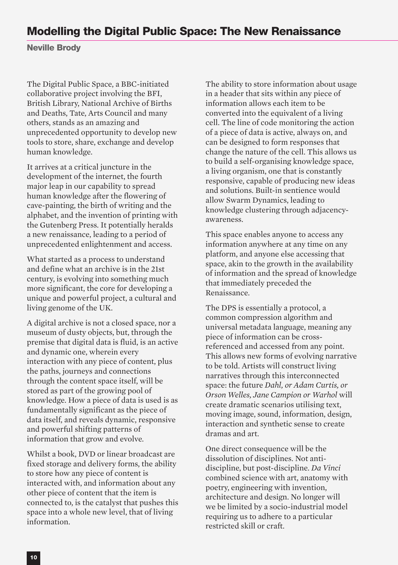# **Modelling the Digital Public Space: The New Renaissance**

**Neville Brody**

The Digital Public Space, a BBC-initiated collaborative project involving the BFI, British Library, National Archive of Births and Deaths, Tate, Arts Council and many others, stands as an amazing and unprecedented opportunity to develop new tools to store, share, exchange and develop human knowledge.

It arrives at a critical juncture in the development of the internet, the fourth major leap in our capability to spread human knowledge after the flowering of cave-painting, the birth of writing and the alphabet, and the invention of printing with the Gutenberg Press. It potentially heralds a new renaissance, leading to a period of unprecedented enlightenment and access.

What started as a process to understand and define what an archive is in the 21st century, is evolving into something much more significant, the core for developing a unique and powerful project, a cultural and living genome of the UK.

A digital archive is not a closed space, nor a museum of dusty objects, but, through the premise that digital data is fluid, is an active and dynamic one, wherein every interaction with any piece of content, plus the paths, journeys and connections through the content space itself, will be stored as part of the growing pool of knowledge. How a piece of data is used is as fundamentally significant as the piece of data itself, and reveals dynamic, responsive and powerful shifting patterns of information that grow and evolve.

Whilst a book, DVD or linear broadcast are fixed storage and delivery forms, the ability to store how any piece of content is interacted with, and information about any other piece of content that the item is connected to, is the catalyst that pushes this space into a whole new level, that of living information.

The ability to store information about usage in a header that sits within any piece of information allows each item to be converted into the equivalent of a living cell. The line of code monitoring the action of a piece of data is active, always on, and can be designed to form responses that change the nature of the cell. This allows us to build a self-organising knowledge space, a living organism, one that is constantly responsive, capable of producing new ideas and solutions. Built-in sentience would allow Swarm Dynamics, leading to knowledge clustering through adjacencyawareness.

This space enables anyone to access any information anywhere at any time on any platform, and anyone else accessing that space, akin to the growth in the availability of information and the spread of knowledge that immediately preceded the Renaissance.

The DPS is essentially a protocol, a common compression algorithm and universal metadata language, meaning any piece of information can be crossreferenced and accessed from any point. This allows new forms of evolving narrative to be told. Artists will construct living narratives through this interconnected space: the future *Dahl, or Adam Curtis, or Orson Welles, Jane Campion or Warhol* will create dramatic scenarios utilising text, moving image, sound, information, design, interaction and synthetic sense to create dramas and art.

One direct consequence will be the dissolution of disciplines. Not antidiscipline, but post-discipline. *Da Vinci* combined science with art, anatomy with poetry, engineering with invention, architecture and design. No longer will we be limited by a socio-industrial model requiring us to adhere to a particular restricted skill or craft.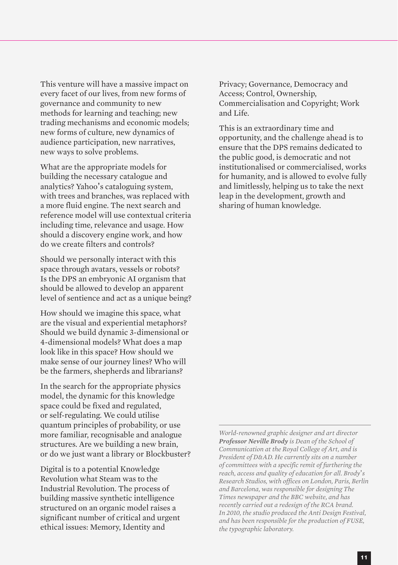This venture will have a massive impact on every facet of our lives, from new forms of governance and community to new methods for learning and teaching; new trading mechanisms and economic models; new forms of culture, new dynamics of audience participation, new narratives, new ways to solve problems.

What are the appropriate models for building the necessary catalogue and analytics? Yahoo's cataloguing system, with trees and branches, was replaced with a more fluid engine. The next search and reference model will use contextual criteria including time, relevance and usage. How should a discovery engine work, and how do we create filters and controls?

Should we personally interact with this space through avatars, vessels or robots? Is the DPS an embryonic AI organism that should be allowed to develop an apparent level of sentience and act as a unique being?

How should we imagine this space, what are the visual and experiential metaphors? Should we build dynamic 3-dimensional or 4-dimensional models? What does a map look like in this space? How should we make sense of our journey lines? Who will be the farmers, shepherds and librarians?

In the search for the appropriate physics model, the dynamic for this knowledge space could be fixed and regulated, or self-regulating. We could utilise quantum principles of probability, or use more familiar, recognisable and analogue structures. Are we building a new brain, or do we just want a library or Blockbuster?

Digital is to a potential Knowledge Revolution what Steam was to the Industrial Revolution. The process of building massive synthetic intelligence structured on an organic model raises a significant number of critical and urgent ethical issues: Memory, Identity and

Privacy; Governance, Democracy and Access; Control, Ownership, Commercialisation and Copyright; Work and Life.

This is an extraordinary time and opportunity, and the challenge ahead is to ensure that the DPS remains dedicated to the public good, is democratic and not institutionalised or commercialised, works for humanity, and is allowed to evolve fully and limitlessly, helping us to take the next leap in the development, growth and sharing of human knowledge.

*World-renowned graphic designer and art director Professor Neville Brody is Dean of the School of Communication at the Royal College of Art, and is President of D&AD. He currently sits on a number of committees with a specific remit of furthering the reach, access and quality of education for all. Brody*'*s Research Studios, with offices on London, Paris, Berlin and Barcelona, was responsible for designing The Times newspaper and the BBC website, and has recently carried out a redesign of the RCA brand. In 2010, the studio produced the Anti Design Festival, and has been responsible for the production of FUSE, the typographic laboratory.*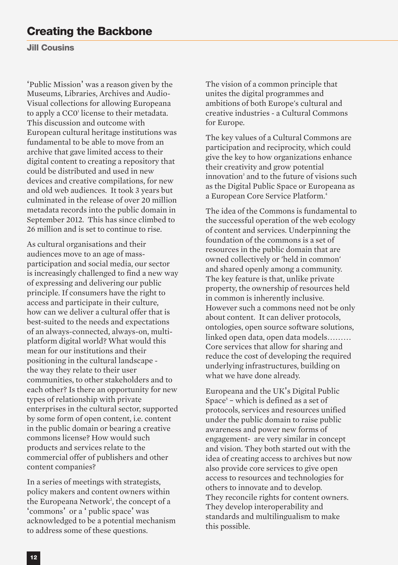**Jill Cousins**

'Public Mission' was a reason given by the Museums, Libraries, Archives and Audio-Visual collections for allowing Europeana to apply a CC0<sup>1</sup> license to their metadata. This discussion and outcome with European cultural heritage institutions was fundamental to be able to move from an archive that gave limited access to their digital content to creating a repository that could be distributed and used in new devices and creative compilations, for new and old web audiences. It took 3 years but culminated in the release of over 20 million metadata records into the public domain in September 2012. This has since climbed to 26 million and is set to continue to rise.

As cultural organisations and their audiences move to an age of massparticipation and social media, our sector is increasingly challenged to find a new way of expressing and delivering our public principle. If consumers have the right to access and participate in their culture, how can we deliver a cultural offer that is best-suited to the needs and expectations of an always-connected, always-on, multiplatform digital world? What would this mean for our institutions and their positioning in the cultural landscape the way they relate to their user communities, to other stakeholders and to each other? Is there an opportunity for new types of relationship with private enterprises in the cultural sector, supported by some form of open content, i.e. content in the public domain or bearing a creative commons license? How would such products and services relate to the commercial offer of publishers and other content companies?

In a series of meetings with strategists, policy makers and content owners within the Europeana Network<sup>2</sup>, the concept of a 'commons' or a ' public space' was acknowledged to be a potential mechanism to address some of these questions.

The vision of a common principle that unites the digital programmes and ambitions of both Europe's cultural and creative industries - a Cultural Commons for Europe.

The key values of a Cultural Commons are participation and reciprocity, which could give the key to how organizations enhance their creativity and grow potential innovation<sup>3</sup> and to the future of visions such as the Digital Public Space or Europeana as a European Core Service Platform. 4

The idea of the Commons is fundamental to the successful operation of the web ecology of content and services. Underpinning the foundation of the commons is a set of resources in the public domain that are owned collectively or 'held in common' and shared openly among a community. The key feature is that, unlike private property, the ownership of resources held in common is inherently inclusive. However such a commons need not be only about content. It can deliver protocols, ontologies, open source software solutions, linked open data, open data models……… Core services that allow for sharing and reduce the cost of developing the required underlying infrastructures, building on what we have done already.

Europeana and the UK's Digital Public Space<sup> $5$ </sup> – which is defined as a set of protocols, services and resources unified under the public domain to raise public awareness and power new forms of engagement- are very similar in concept and vision. They both started out with the idea of creating access to archives but now also provide core services to give open access to resources and technologies for others to innovate and to develop. They reconcile rights for content owners. They develop interoperability and standards and multilingualism to make this possible.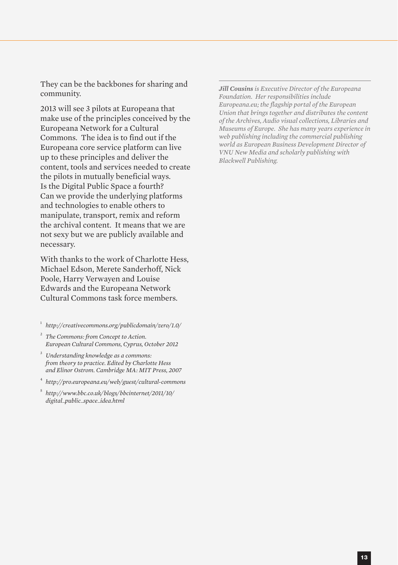They can be the backbones for sharing and community.

2013 will see 3 pilots at Europeana that make use of the principles conceived by the Europeana Network for a Cultural Commons. The idea is to find out if the Europeana core service platform can live up to these principles and deliver the content, tools and services needed to create the pilots in mutually beneficial ways. Is the Digital Public Space a fourth? Can we provide the underlying platforms and technologies to enable others to manipulate, transport, remix and reform the archival content. It means that we are not sexy but we are publicly available and necessary.

With thanks to the work of Charlotte Hess, Michael Edson, Merete Sanderhoff, Nick Poole, Harry Verwayen and Louise Edwards and the Europeana Network Cultural Commons task force members.

<sup>1</sup> *http://creativecommons.org/publicdomain/zero/1.0/*

- <sup>2</sup> *The Commons: from Concept to Action. European Cultural Commons, Cyprus, October 2012*
- <sup>3</sup> *Understanding knowledge as a commons: from theory to practice. Edited by Charlotte Hess and Elinor Ostrom. Cambridge MA: MIT Press, 2007*
- <sup>4</sup> *http://pro.europeana.eu/web/guest/cultural-commons*
- <sup>5</sup> *http://www.bbc.co.uk/blogs/bbcinternet/2011/10/ digital\_public\_space\_idea.html*

*Jill Cousins is Executive Director of the Europeana Foundation. Her responsibilities include Europeana.eu; the flagship portal of the European Union that brings together and distributes the content of the Archives, Audio visual collections, Libraries and Museums of Europe. She has many years experience in web publishing including the commercial publishing world as European Business Development Director of VNU New Media and scholarly publishing with Blackwell Publishing.*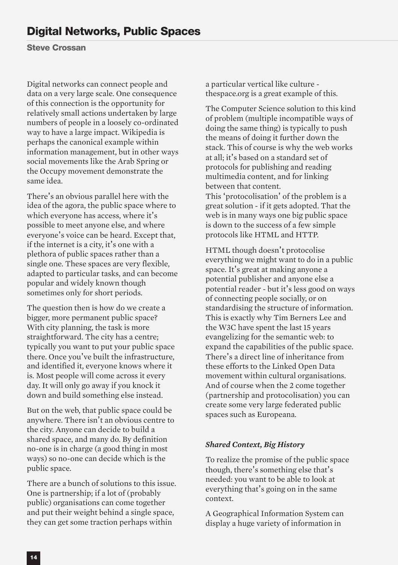# **Digital Networks, Public Spaces**

**Steve Crossan**

Digital networks can connect people and data on a very large scale. One consequence of this connection is the opportunity for relatively small actions undertaken by large numbers of people in a loosely co-ordinated way to have a large impact. Wikipedia is perhaps the canonical example within information management, but in other ways social movements like the Arab Spring or the Occupy movement demonstrate the same idea.

There's an obvious parallel here with the idea of the agora, the public space where to which everyone has access, where it's possible to meet anyone else, and where everyone's voice can be heard. Except that, if the internet is a city, it's one with a plethora of public spaces rather than a single one. These spaces are very flexible, adapted to particular tasks, and can become popular and widely known though sometimes only for short periods.

The question then is how do we create a bigger, more permanent public space? With city planning, the task is more straightforward. The city has a centre; typically you want to put your public space there. Once you've built the infrastructure, and identified it, everyone knows where it is. Most people will come across it every day. It will only go away if you knock it down and build something else instead.

But on the web, that public space could be anywhere. There isn't an obvious centre to the city. Anyone can decide to build a shared space, and many do. By definition no-one is in charge (a good thing in most ways) so no-one can decide which is the public space.

There are a bunch of solutions to this issue. One is partnership; if a lot of (probably public) organisations can come together and put their weight behind a single space, they can get some traction perhaps within

a particular vertical like culture thespace.org is a great example of this.

The Computer Science solution to this kind of problem (multiple incompatible ways of doing the same thing) is typically to push the means of doing it further down the stack. This of course is why the web works at all; it's based on a standard set of protocols for publishing and reading multimedia content, and for linking between that content. This 'protocolisation' of the problem is a great solution - if it gets adopted. That the web is in many ways one big public space is down to the success of a few simple protocols like HTML and HTTP.

HTML though doesn't protocolise everything we might want to do in a public space. It's great at making anyone a potential publisher and anyone else a potential reader - but it's less good on ways of connecting people socially, or on standardising the structure of information. This is exactly why Tim Berners Lee and the W3C have spent the last 15 years evangelizing for the semantic web: to expand the capabilities of the public space. There's a direct line of inheritance from these efforts to the Linked Open Data movement within cultural organisations. And of course when the 2 come together (partnership and protocolisation) you can create some very large federated public spaces such as Europeana.

#### *Shared Context, Big History*

To realize the promise of the public space though, there's something else that's needed: you want to be able to look at everything that's going on in the same context.

A Geographical Information System can display a huge variety of information in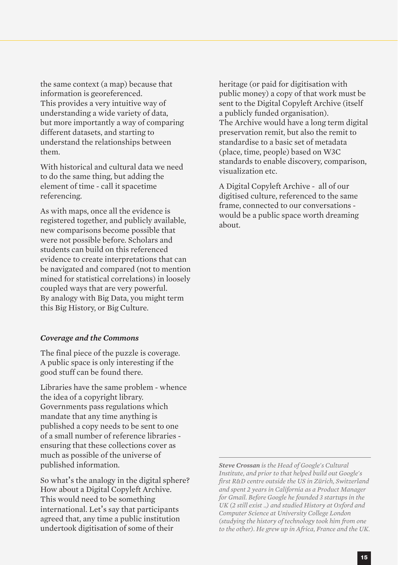the same context (a map) because that information is georeferenced. This provides a very intuitive way of understanding a wide variety of data, but more importantly a way of comparing different datasets, and starting to understand the relationships between them.

With historical and cultural data we need to do the same thing, but adding the element of time - call it spacetime referencing.

As with maps, once all the evidence is registered together, and publicly available, new comparisons become possible that were not possible before. Scholars and students can build on this referenced evidence to create interpretations that can be navigated and compared (not to mention mined for statistical correlations) in loosely coupled ways that are very powerful. By analogy with Big Data, you might term this Big History, or Big Culture.

#### *Coverage and the Commons*

The final piece of the puzzle is coverage. A public space is only interesting if the good stuff can be found there.

Libraries have the same problem - whence the idea of a copyright library. Governments pass regulations which mandate that any time anything is published a copy needs to be sent to one of a small number of reference libraries ensuring that these collections cover as much as possible of the universe of published information.

So what's the analogy in the digital sphere? How about a Digital Copyleft Archive. This would need to be something international. Let's say that participants agreed that, any time a public institution undertook digitisation of some of their

heritage (or paid for digitisation with public money) a copy of that work must be sent to the Digital Copyleft Archive (itself a publicly funded organisation). The Archive would have a long term digital preservation remit, but also the remit to standardise to a basic set of metadata (place, time, people) based on W3C standards to enable discovery, comparison, visualization etc.

A Digital Copyleft Archive - all of our digitised culture, referenced to the same frame, connected to our conversations would be a public space worth dreaming about.

*Steve Crossan is the Head of Google's Cultural Institute, and prior to that helped build out Google's first R&D centre outside the US in Zürich, Switzerland and spent 2 years in California as a Product Manager for Gmail. Before Google he founded 3 startups in the UK (2 still exist ..) and studied History at Oxford and Computer Science at University College London (studying the history of technology took him from one to the other). He grew up in Africa, France and the UK.*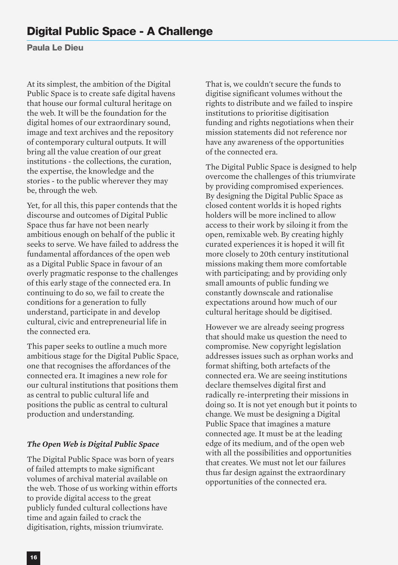**Paula Le Dieu**

At its simplest, the ambition of the Digital Public Space is to create safe digital havens that house our formal cultural heritage on the web. It will be the foundation for the digital homes of our extraordinary sound, image and text archives and the repository of contemporary cultural outputs. It will bring all the value creation of our great institutions - the collections, the curation, the expertise, the knowledge and the stories - to the public wherever they may be, through the web.

Yet, for all this, this paper contends that the discourse and outcomes of Digital Public Space thus far have not been nearly ambitious enough on behalf of the public it seeks to serve. We have failed to address the fundamental affordances of the open web as a Digital Public Space in favour of an overly pragmatic response to the challenges of this early stage of the connected era. In continuing to do so, we fail to create the conditions for a generation to fully understand, participate in and develop cultural, civic and entrepreneurial life in the connected era.

This paper seeks to outline a much more ambitious stage for the Digital Public Space, one that recognises the affordances of the connected era. It imagines a new role for our cultural institutions that positions them as central to public cultural life and positions the public as central to cultural production and understanding.

#### *The Open Web is Digital Public Space*

The Digital Public Space was born of years of failed attempts to make significant volumes of archival material available on the web. Those of us working within efforts to provide digital access to the great publicly funded cultural collections have time and again failed to crack the digitisation, rights, mission triumvirate.

That is, we couldn't secure the funds to digitise significant volumes without the rights to distribute and we failed to inspire institutions to prioritise digitisation funding and rights negotiations when their mission statements did not reference nor have any awareness of the opportunities of the connected era.

The Digital Public Space is designed to help overcome the challenges of this triumvirate by providing compromised experiences. By designing the Digital Public Space as closed content worlds it is hoped rights holders will be more inclined to allow access to their work by siloing it from the open, remixable web. By creating highly curated experiences it is hoped it will fit more closely to 20th century institutional missions making them more comfortable with participating; and by providing only small amounts of public funding we constantly downscale and rationalise expectations around how much of our cultural heritage should be digitised.

However we are already seeing progress that should make us question the need to compromise. New copyright legislation addresses issues such as orphan works and format shifting, both artefacts of the connected era. We are seeing institutions declare themselves digital first and radically re-interpreting their missions in doing so. It is not yet enough but it points to change. We must be designing a Digital Public Space that imagines a mature connected age. It must be at the leading edge of its medium, and of the open web with all the possibilities and opportunities that creates. We must not let our failures thus far design against the extraordinary opportunities of the connected era.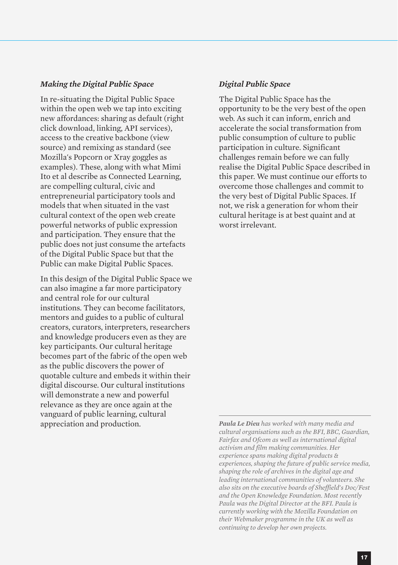#### *Making the Digital Public Space*

In re-situating the Digital Public Space within the open web we tap into exciting new affordances: sharing as default (right click download, linking, API services), access to the creative backbone (view source) and remixing as standard (see Mozilla's Popcorn or Xray goggles as examples). These, along with what Mimi Ito et al describe as Connected Learning, are compelling cultural, civic and entrepreneurial participatory tools and models that when situated in the vast cultural context of the open web create powerful networks of public expression and participation. They ensure that the public does not just consume the artefacts of the Digital Public Space but that the Public can make Digital Public Spaces.

In this design of the Digital Public Space we can also imagine a far more participatory and central role for our cultural institutions. They can become facilitators, mentors and guides to a public of cultural creators, curators, interpreters, researchers and knowledge producers even as they are key participants. Our cultural heritage becomes part of the fabric of the open web as the public discovers the power of quotable culture and embeds it within their digital discourse. Our cultural institutions will demonstrate a new and powerful relevance as they are once again at the vanguard of public learning, cultural appreciation and production.

#### *Digital Public Space*

The Digital Public Space has the opportunity to be the very best of the open web. As such it can inform, enrich and accelerate the social transformation from public consumption of culture to public participation in culture. Significant challenges remain before we can fully realise the Digital Public Space described in this paper. We must continue our efforts to overcome those challenges and commit to the very best of Digital Public Spaces. If not, we risk a generation for whom their cultural heritage is at best quaint and at worst irrelevant.

*Paula Le Dieu has worked with many media and cultural organisations such as the BFI, BBC, Guardian, Fairfax and Ofcom as well as international digital activism and film making communities. Her experience spans making digital products & experiences, shaping the future of public service media, shaping the role of archives in the digital age and leading international communities of volunteers. She also sits on the executive boards of Sheffield's Doc/Fest and the Open Knowledge Foundation. Most recently Paula was the Digital Director at the BFI. Paula is currently working with the Mozilla Foundation on their Webmaker programme in the UK as well as continuing to develop her own projects.*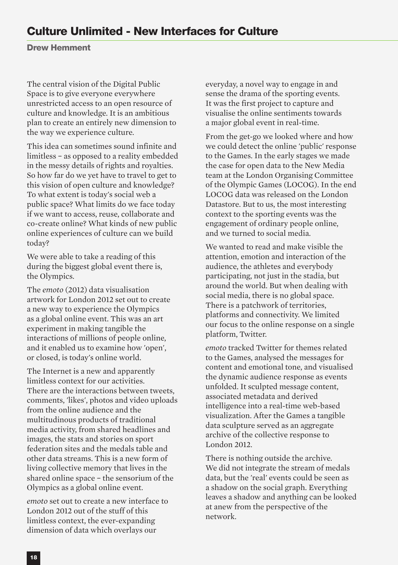## **Culture Unlimited - New Interfaces for Culture**

**Drew Hemment**

The central vision of the Digital Public Space is to give everyone everywhere unrestricted access to an open resource of culture and knowledge. It is an ambitious plan to create an entirely new dimension to the way we experience culture.

This idea can sometimes sound infinite and limitless – as opposed to a reality embedded in the messy details of rights and royalties. So how far do we yet have to travel to get to this vision of open culture and knowledge? To what extent is today's social web a public space? What limits do we face today if we want to access, reuse, collaborate and co-create online? What kinds of new public online experiences of culture can we build today?

We were able to take a reading of this during the biggest global event there is, the Olympics.

The *emoto* (2012) data visualisation artwork for London 2012 set out to create a new way to experience the Olympics as a global online event. This was an art experiment in making tangible the interactions of millions of people online, and it enabled us to examine how 'open', or closed, is today's online world.

The Internet is a new and apparently limitless context for our activities. There are the interactions between tweets, comments, 'likes', photos and video uploads from the online audience and the multitudinous products of traditional media activity, from shared headlines and images, the stats and stories on sport federation sites and the medals table and other data streams. This is a new form of living collective memory that lives in the shared online space – the sensorium of the Olympics as a global online event.

*emoto* set out to create a new interface to London 2012 out of the stuff of this limitless context, the ever-expanding dimension of data which overlays our

everyday, a novel way to engage in and sense the drama of the sporting events. It was the first project to capture and visualise the online sentiments towards a major global event in real-time.

From the get-go we looked where and how we could detect the online 'public' response to the Games. In the early stages we made the case for open data to the New Media team at the London Organising Committee of the Olympic Games (LOCOG). In the end LOCOG data was released on the London Datastore. But to us, the most interesting context to the sporting events was the engagement of ordinary people online, and we turned to social media.

We wanted to read and make visible the attention, emotion and interaction of the audience, the athletes and everybody participating, not just in the stadia, but around the world. But when dealing with social media, there is no global space. There is a patchwork of territories, platforms and connectivity. We limited our focus to the online response on a single platform, Twitter.

*emoto* tracked Twitter for themes related to the Games, analysed the messages for content and emotional tone, and visualised the dynamic audience response as events unfolded. It sculpted message content, associated metadata and derived intelligence into a real-time web-based visualization. After the Games a tangible data sculpture served as an aggregate archive of the collective response to London 2012.

There is nothing outside the archive. We did not integrate the stream of medals data, but the 'real' events could be seen as a shadow on the social graph. Everything leaves a shadow and anything can be looked at anew from the perspective of the network.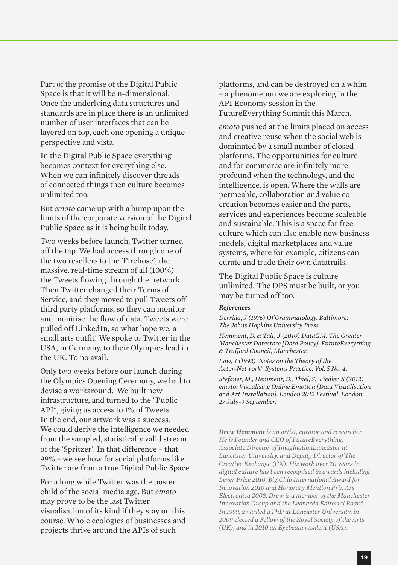Part of the promise of the Digital Public Space is that it will be n-dimensional. Once the underlying data structures and standards are in place there is an unlimited number of user interfaces that can be layered on top, each one opening a unique perspective and vista.

In the Digital Public Space everything becomes context for everything else. When we can infinitely discover threads of connected things then culture becomes unlimited too.

But *emoto* came up with a bump upon the limits of the corporate version of the Digital Public Space as it is being built today.

Two weeks before launch, Twitter turned off the tap. We had access through one of the two resellers to the 'Firehose', the massive, real-time stream of all (100%) the Tweets flowing through the network. Then Twitter changed their Terms of Service, and they moved to pull Tweets off third party platforms, so they can monitor and monitise the flow of data. Tweets were pulled off LinkedIn, so what hope we, a small arts outfit! We spoke to Twitter in the USA, in Germany, to their Olympics lead in the UK. To no avail.

Only two weeks before our launch during the Olympics Opening Ceremony, we had to devise a workaround. We built new infrastructure, and turned to the "Public API", giving us access to 1% of Tweets. In the end, our artwork was a success. We could derive the intelligence we needed from the sampled, statistically valid stream of the 'Spritzer'. In that difference – that 99% – we see how far social platforms like Twitter are from a true Digital Public Space.

For a long while Twitter was the poster child of the social media age. But *emoto* may prove to be the last Twitter visualisation of its kind if they stay on this course. Whole ecologies of businesses and projects thrive around the APIs of such

platforms, and can be destroyed on a whim – a phenomenon we are exploring in the API Economy session in the FutureEverything Summit this March.

*emoto* pushed at the limits placed on access and creative reuse when the social web is dominated by a small number of closed platforms. The opportunities for culture and for commerce are infinitely more profound when the technology, and the intelligence, is open. Where the walls are permeable, collaboration and value cocreation becomes easier and the parts, services and experiences become scaleable and sustainable. This is a space for free culture which can also enable new business models, digital marketplaces and value systems, where for example, citizens can curate and trade their own datatrails.

The Digital Public Space is culture unlimited. The DPS must be built, or you may be turned off too.

#### *References*

*Derrida, J (1976) Of Grammatology. Baltimore: The Johns Hopkins University Press.*

*Hemment, D. & Tait, J (2010) DataGM: The Greater Manchester Datastore [Data Policy]. FutureEverything & Trafford Council, Manchester.*

*Law, J (1992) 'Notes on the Theory of the Actor-Network'. Systems Practice. Vol. 5 No. 4.*

*Stefaner, M., Hemment, D., Thiel, S., Fiedler, S (2012) emoto: Visualising Online Emotion [Data Visualisation and Art Installation]. London 2012 Festival, London, 27 July-9 September.*

*Drew Hemment is an artist, curator and researcher. He is Founder and CEO of FutureEverything, Associate Director of ImaginationLancaster at Lancaster University, and Deputy Director of The Creative Exchange (CX). His work over 20 years in digital culture has been recognised in awards including Lever Prize 2010, Big Chip International Award for Innovation 2010 and Honorary Mention Prix Ars Electronica 2008. Drew is a member of the Manchester Innovation Group and the Leonardo Editorial Board. In 1999, awarded a PhD at Lancaster University, in 2009 elected a Fellow of the Royal Society of the Arts (UK), and in 2010 an Eyebeam resident (USA).*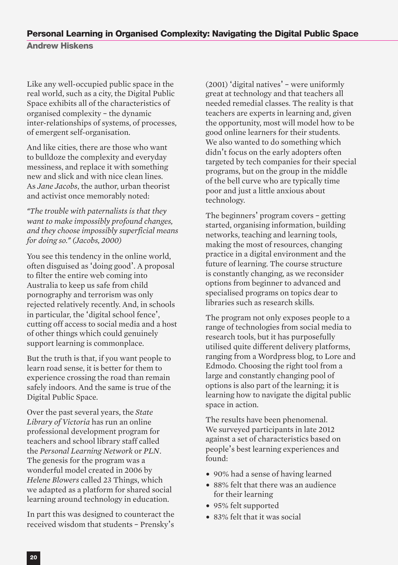# **Personal Learning in Organised Complexity: Navigating the Digital Public Space**

**Andrew Hiskens**

Like any well-occupied public space in the real world, such as a city, the Digital Public Space exhibits all of the characteristics of organised complexity – the dynamic inter-relationships of systems, of processes, of emergent self-organisation.

And like cities, there are those who want to bulldoze the complexity and everyday messiness, and replace it with something new and slick and with nice clean lines. As *Jane Jacobs*, the author, urban theorist and activist once memorably noted:

*"The trouble with paternalists is that they want to make impossibly profound changes, and they choose impossibly superficial means for doing so." (Jacobs, 2000)*

You see this tendency in the online world, often disguised as 'doing good'. A proposal to filter the entire web coming into Australia to keep us safe from child pornography and terrorism was only rejected relatively recently. And, in schools in particular, the 'digital school fence', cutting off access to social media and a host of other things which could genuinely support learning is commonplace.

But the truth is that, if you want people to learn road sense, it is better for them to experience crossing the road than remain safely indoors. And the same is true of the Digital Public Space.

Over the past several years, the *State Library of Victoria* has run an online professional development program for teachers and school library staff called the *Personal Learning Network* or *PLN*. The genesis for the program was a wonderful model created in 2006 by *Helene Blowers* called 23 Things, which we adapted as a platform for shared social learning around technology in education.

In part this was designed to counteract the received wisdom that students – Prensky's

(2001) 'digital natives' – were uniformly great at technology and that teachers all needed remedial classes. The reality is that teachers are experts in learning and, given the opportunity, most will model how to be good online learners for their students. We also wanted to do something which didn't focus on the early adopters often targeted by tech companies for their special programs, but on the group in the middle of the bell curve who are typically time poor and just a little anxious about technology.

The beginners' program covers – getting started, organising information, building networks, teaching and learning tools, making the most of resources, changing practice in a digital environment and the future of learning. The course structure is constantly changing, as we reconsider options from beginner to advanced and specialised programs on topics dear to libraries such as research skills.

The program not only exposes people to a range of technologies from social media to research tools, but it has purposefully utilised quite different delivery platforms, ranging from a Wordpress blog, to Lore and Edmodo. Choosing the right tool from a large and constantly changing pool of options is also part of the learning; it is learning how to navigate the digital public space in action.

The results have been phenomenal. We surveyed participants in late 2012 against a set of characteristics based on people's best learning experiences and found:

- 90% had a sense of having learned
- 88% felt that there was an audience for their learning
- 95% felt supported
- 83% felt that it was social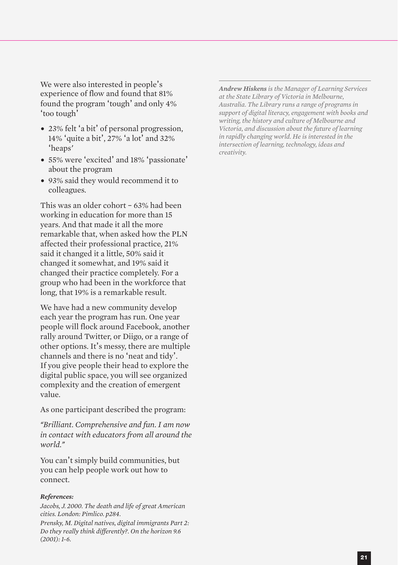We were also interested in people's experience of flow and found that 81% found the program 'tough' and only 4% 'too tough'

- 23% felt 'a bit' of personal progression, 14% 'quite a bit', 27% 'a lot' and 32% 'heaps*'*
- 55% were 'excited' and 18% 'passionate' about the program
- 93% said they would recommend it to colleagues.

This was an older cohort – 63% had been working in education for more than 15 years. And that made it all the more remarkable that, when asked how the PLN affected their professional practice, 21% said it changed it a little, 50% said it changed it somewhat, and 19% said it changed their practice completely. For a group who had been in the workforce that long, that 19% is a remarkable result.

We have had a new community develop each year the program has run. One year people will flock around Facebook, another rally around Twitter, or Diigo, or a range of other options. It's messy, there are multiple channels and there is no 'neat and tidy'. If you give people their head to explore the digital public space, you will see organized complexity and the creation of emergent value.

As one participant described the program:

*"Brilliant. Comprehensive and fun. I am now in contact with educators from all around the world."*

You can't simply build communities, but you can help people work out how to connect.

#### *References:*

*Jacobs, J. 2000. The death and life of great American cities. London: Pimlico. p284. Prensky, M. Digital natives, digital immigrants Part 2: Do they really think differently?. On the horizon 9.6 (2001): 1-6.*

*Andrew Hiskens is the Manager of Learning Services at the State Library of Victoria in Melbourne, Australia. The Library runs a range of programs in support of digital literacy, engagement with books and writing, the history and culture of Melbourne and Victoria, and discussion about the future of learning in rapidly changing world. He is interested in the intersection of learning, technology, ideas and creativity.*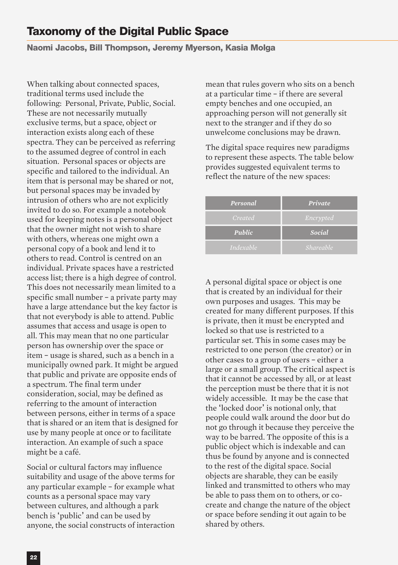#### **Naomi Jacobs, Bill Thompson, Jeremy Myerson, Kasia Molga**

When talking about connected spaces, traditional terms used include the following: Personal, Private, Public, Social. These are not necessarily mutually exclusive terms, but a space, object or interaction exists along each of these spectra. They can be perceived as referring to the assumed degree of control in each situation. Personal spaces or objects are specific and tailored to the individual. An item that is personal may be shared or not, but personal spaces may be invaded by intrusion of others who are not explicitly invited to do so. For example a notebook used for keeping notes is a personal object that the owner might not wish to share with others, whereas one might own a personal copy of a book and lend it to others to read. Control is centred on an individual. Private spaces have a restricted access list; there is a high degree of control. This does not necessarily mean limited to a specific small number – a private party may have a large attendance but the key factor is that not everybody is able to attend. Public assumes that access and usage is open to all. This may mean that no one particular person has ownership over the space or item – usage is shared, such as a bench in a municipally owned park. It might be argued that public and private are opposite ends of a spectrum. The final term under consideration, social, may be defined as referring to the amount of interaction between persons, either in terms of a space that is shared or an item that is designed for use by many people at once or to facilitate interaction. An example of such a space might be a café.

Social or cultural factors may influence suitability and usage of the above terms for any particular example – for example what counts as a personal space may vary between cultures, and although a park bench is 'public' and can be used by anyone, the social constructs of interaction

mean that rules govern who sits on a bench at a particular time – if there are several empty benches and one occupied, an approaching person will not generally sit next to the stranger and if they do so unwelcome conclusions may be drawn.

The digital space requires new paradigms to represent these aspects. The table below provides suggested equivalent terms to reflect the nature of the new spaces:

| Personal         | Private          |
|------------------|------------------|
| Created          | Encrypted        |
| Public           | Social           |
| <i>Indexable</i> | <i>Shareable</i> |

A personal digital space or object is one that is created by an individual for their own purposes and usages. This may be created for many different purposes. If this is private, then it must be encrypted and locked so that use is restricted to a particular set. This in some cases may be restricted to one person (the creator) or in other cases to a group of users – either a large or a small group. The critical aspect is that it cannot be accessed by all, or at least the perception must be there that it is not widely accessible. It may be the case that the 'locked door' is notional only, that people could walk around the door but do not go through it because they perceive the way to be barred. The opposite of this is a public object which is indexable and can thus be found by anyone and is connected to the rest of the digital space. Social objects are sharable, they can be easily linked and transmitted to others who may be able to pass them on to others, or cocreate and change the nature of the object or space before sending it out again to be shared by others.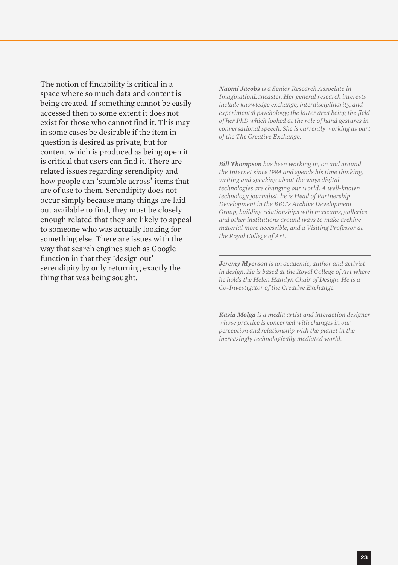The notion of findability is critical in a space where so much data and content is being created. If something cannot be easily accessed then to some extent it does not exist for those who cannot find it. This may in some cases be desirable if the item in question is desired as private, but for content which is produced as being open it is critical that users can find it. There are related issues regarding serendipity and how people can 'stumble across' items that are of use to them. Serendipity does not occur simply because many things are laid out available to find, they must be closely enough related that they are likely to appeal to someone who was actually looking for something else. There are issues with the way that search engines such as Google function in that they 'design out' serendipity by only returning exactly the thing that was being sought.

*Naomi Jacobs is a Senior Research Associate in ImaginationLancaster. Her general research interests include knowledge exchange, interdisciplinarity, and experimental psychology; the latter area being the field of her PhD which looked at the role of hand gestures in conversational speech. She is currently working as part of the The Creative Exchange.*

*Bill Thompson has been working in, on and around the Internet since 1984 and spends his time thinking, writing and speaking about the ways digital technologies are changing our world. A well-known technology journalist, he is Head of Partnership Development in the BBC's Archive Development Group, building relationships with museums, galleries and other institutions around ways to make archive material more accessible, and a Visiting Professor at the Royal College of Art.*

*Jeremy Myerson is an academic, author and activist in design. He is based at the Royal College of Art where he holds the Helen Hamlyn Chair of Design. He is a Co-Investigator of the Creative Exchange.*

*Kasia Molga is a media artist and interaction designer whose practice is concerned with changes in our perception and relationship with the planet in the increasingly technologically mediated world.*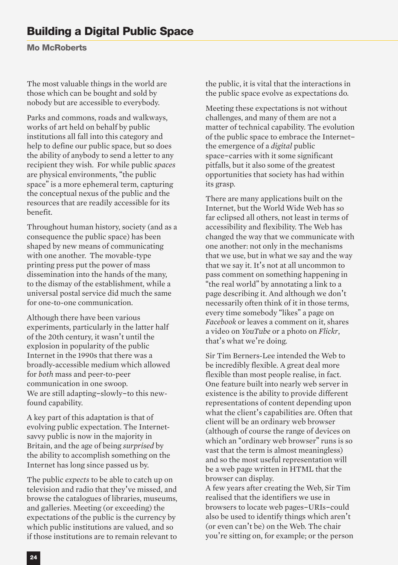**Mo McRoberts**

The most valuable things in the world are those which can be bought and sold by nobody but are accessible to everybody.

Parks and commons, roads and walkways, works of art held on behalf by public institutions all fall into this category and help to define our public space, but so does the ability of anybody to send a letter to any recipient they wish. For while public *spaces* are physical environments, "the public space" is a more ephemeral term, capturing the conceptual nexus of the public and the resources that are readily accessible for its benefit.

Throughout human history, society (and as a consequence the public space) has been shaped by new means of communicating with one another. The movable-type printing press put the power of mass dissemination into the hands of the many, to the dismay of the establishment, while a universal postal service did much the same for one-to-one communication.

Although there have been various experiments, particularly in the latter half of the 20th century, it wasn't until the explosion in popularity of the public Internet in the 1990s that there was a broadly-accessible medium which allowed for *both* mass and peer-to-peer communication in one swoop. We are still adapting-slowly-to this newfound capability.

A key part of this adaptation is that of evolving public expectation. The Internetsavvy public is now in the majority in Britain, and the age of being *surprised* by the ability to accomplish something on the Internet has long since passed us by.

The public *expects* to be able to catch up on television and radio that they've missed, and browse the catalogues of libraries, museums, and galleries. Meeting (or exceeding) the expectations of the public is the currency by which public institutions are valued, and so if those institutions are to remain relevant to

the public, it is vital that the interactions in the public space evolve as expectations do.

Meeting these expectations is not without challenges, and many of them are not a matter of technical capability. The evolution of the public space to embrace the Internetthe emergence of a *digital* public space-carries with it some significant pitfalls, but it also some of the greatest opportunities that society has had within its grasp.

There are many applications built on the Internet, but the World Wide Web has so far eclipsed all others, not least in terms of accessibility and flexibility. The Web has changed the way that we communicate with one another: not only in the mechanisms that we use, but in what we say and the way that we say it. It's not at all uncommon to pass comment on something happening in "the real world" by annotating a link to a page describing it. And although we don't necessarily often think of it in those terms, every time somebody "likes" a page on *Facebook* or leaves a comment on it, shares a video on *YouTube* or a photo on *Flickr*, that's what we're doing.

Sir Tim Berners-Lee intended the Web to be incredibly flexible. A great deal more flexible than most people realise, in fact. One feature built into nearly web server in existence is the ability to provide different representations of content depending upon what the client's capabilities are. Often that client will be an ordinary web browser (although of course the range of devices on which an "ordinary web browser" runs is so vast that the term is almost meaningless) and so the most useful representation will be a web page written in HTML that the browser can display.

A few years after creating the Web, Sir Tim realised that the identifiers we use in browsers to locate web pages-URIs-could also be used to identify things which aren't (or even can't be) on the Web. The chair you're sitting on, for example; or the person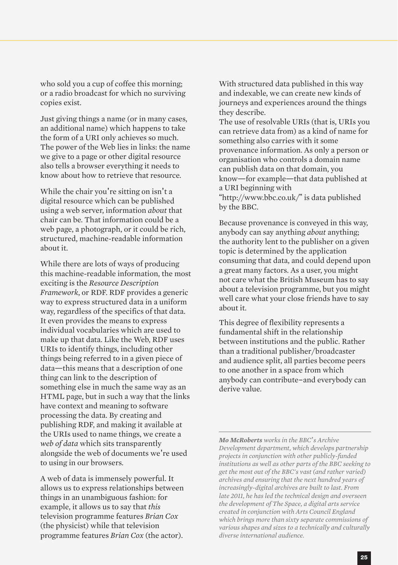who sold you a cup of coffee this morning; or a radio broadcast for which no surviving copies exist.

Just giving things a name (or in many cases, an additional name) which happens to take the form of a URI only achieves so much. The power of the Web lies in links: the name we give to a page or other digital resource also tells a browser everything it needs to know about how to retrieve that resource.

While the chair you're sitting on isn't a digital resource which can be published using a web server, information *about* that chair can be. That information could be a web page, a photograph, or it could be rich, structured, machine-readable information about it.

While there are lots of ways of producing this machine-readable information, the most exciting is the *Resource Description Framework*, or RDF. RDF provides a generic way to express structured data in a uniform way, regardless of the specifics of that data. It even provides the means to express individual vocabularies which are used to make up that data. Like the Web, RDF uses URIs to identify things, including other things being referred to in a given piece of data—this means that a description of one thing can link to the description of something else in much the same way as an HTML page, but in such a way that the links have context and meaning to software processing the data. By creating and publishing RDF, and making it available at the URIs used to name things, we create a *web of data* which sits transparently alongside the web of documents we're used to using in our browsers.

A web of data is immensely powerful. It allows us to express relationships between things in an unambiguous fashion: for example, it allows us to say that *this* television programme features *Brian Cox* (the physicist) while that television programme features *Brian Cox* (the actor). With structured data published in this way and indexable, we can create new kinds of journeys and experiences around the things they describe.

The use of resolvable URIs (that is, URIs you can retrieve data from) as a kind of name for something also carries with it some provenance information. As only a person or organisation who controls a domain name can publish data on that domain, you know—for example—that data published at a URI beginning with

"http://www.bbc.co.uk/" is data published by the BBC.

Because provenance is conveyed in this way, anybody can say anything *about* anything; the authority lent to the publisher on a given topic is determined by the application consuming that data, and could depend upon a great many factors. As a user, you might not care what the British Museum has to say about a television programme, but you might well care what your close friends have to say about it.

This degree of flexibility represents a fundamental shift in the relationship between institutions and the public. Rather than a traditional publisher/broadcaster and audience split, all parties become peers to one another in a space from which anybody can contribute-and everybody can derive value.

*Mo McRoberts works in the BBC*'*s Archive Development department, which develops partnership projects in conjunction with other publicly-funded institutions as well as other parts of the BBC seeking to get the most out of the BBC's vast (and rather varied) archives and ensuring that the next hundred years of increasingly-digital archives are built to last. From late 2011, he has led the technical design and overseen the development of The Space, a digital arts service created in conjunction with Arts Council England which brings more than sixty separate commissions of various shapes and sizes to a technically and culturally diverse international audience.*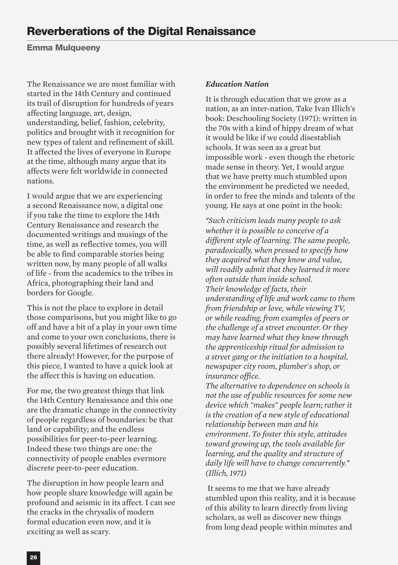**Emma Mulqueeny**

The Renaissance we are most familiar with started in the 14th Century and continued its trail of disruption for hundreds of years affecting language, art, design, understanding, belief, fashion, celebrity, politics and brought with it recognition for new types of talent and refinement of skill. It affected the lives of everyone in Europe at the time, although many argue that its affects were felt worldwide in connected nations.

I would argue that we are experiencing a second Renaissance now, a digital one if you take the time to explore the 14th Century Renaissance and research the documented writings and musings of the time, as well as reflective tomes, you will be able to find comparable stories being written now, by many people of all walks of life - from the academics to the tribes in Africa, photographing their land and borders for Google.

This is not the place to explore in detail those comparisons, but you might like to go off and have a bit of a play in your own time and come to your own conclusions, there is possibly several lifetimes of research out there already! However, for the purpose of this piece, I wanted to have a quick look at the affect this is having on education.

For me, the two greatest things that link the 14th Century Renaissance and this one are the dramatic change in the connectivity of people regardless of boundaries: be that land or capability; and the endless possibilities for peer-to-peer learning. Indeed these two things are one: the connectivity of people enables evermore discrete peer-to-peer education.

The disruption in how people learn and how people share knowledge will again be profound and seismic in its affect. I can see the cracks in the chrysalis of modern formal education even now, and it is exciting as well as scary.

#### *Education Nation*

It is through education that we grow as a nation, as an inter-nation. Take Ivan Illich's book: Deschooling Society (1971): written in the 70s with a kind of hippy dream of what it would be like if we could disestablish schools. It was seen as a great but impossible work - even though the rhetoric made sense in theory. Yet, I would argue that we have pretty much stumbled upon the environment he predicted we needed, in order to free the minds and talents of the young. He says at one point in the book:

*"Such criticism leads many people to ask whether it is possible to conceive of a different style of learning. The same people, paradoxically, when pressed to specify how they acquired what they know and value, will readily admit that they learned it more often outside than inside school. Their knowledge of facts, their understanding of life and work came to them from friendship or love, while viewing TV, or while reading, from examples of peers or the challenge of a street encounter. Or they may have learned what they know through the apprenticeship ritual for admission to a street gang or the initiation to a hospital, newspaper city room, plumber's shop, or insurance office.*

*The alternative to dependence on schools is not the use of public resources for some new device which "makes" people learn; rather it is the creation of a new style of educational relationship between man and his environment. To foster this style, attitudes toward growing up, the tools available for learning, and the quality and structure of daily life will have to change concurrently." (Illich, 1971)*

It seems to me that we have already stumbled upon this reality, and it is because of this ability to learn directly from living scholars, as well as discover new things from long dead people within minutes and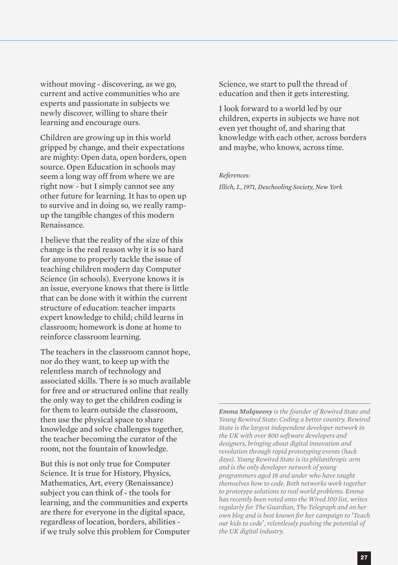without moving - discovering, as we go, current and active communities who are experts and passionate in subjects we newly discover, willing to share their learning and encourage ours.

Children are growing up in this world gripped by change, and their expectations are mighty: Open data, open borders, open source. Open Education in schools may seem a long way off from where we are right now - but I simply cannot see any other future for learning. It has to open up to survive and in doing so, we really rampup the tangible changes of this modern Renaissance.

I believe that the reality of the size of this change is the real reason why it is so hard for anyone to properly tackle the issue of teaching children modern day Computer Science (in schools). Everyone knows it is an issue, everyone knows that there is little that can be done with it within the current structure of education: teacher imparts expert knowledge to child; child learns in classroom; homework is done at home to reinforce classroom learning.

The teachers in the classroom cannot hope, nor do they want, to keep up with the relentless march of technology and associated skills. There is so much available for free and or structured online that really the only way to get the children coding is for them to learn outside the classroom, then use the physical space to share knowledge and solve challenges together, the teacher becoming the curator of the room, not the fountain of knowledge.

But this is not only true for Computer Science. It is true for History, Physics, Mathematics, Art, every (Renaissance) subject you can think of - the tools for learning, and the communities and experts are there for everyone in the digital space, regardless of location, borders, abilities if we truly solve this problem for Computer Science, we start to pull the thread of education and then it gets interesting.

I look forward to a world led by our children, experts in subjects we have not even yet thought of, and sharing that knowledge with each other, across borders and maybe, who knows, across time.

#### *References:*

*Illich, I., 1971, Deschooling Society, New York*

*Emma Mulqueeny is the founder of Rewired State and Young Rewired State: Coding a better country. Rewired State is the largest independent developer network in the UK with over 800 software developers and designers, bringing about digital innovation and revolution through rapid prototyping events (hack days). Young Rewired State is its philanthropic arm and is the only developer network of young programmers aged 18 and under who have taught themselves how to code. Both networks work together to prototype solutions to real world problems. Emma has recently been voted onto the Wired 100 list, writes regularly for The Guardian, The Telegraph and on her own blog and is best known for her campaign to* '*Teach our kids to code*'*, relentlessly pushing the potential of the UK digital industry.*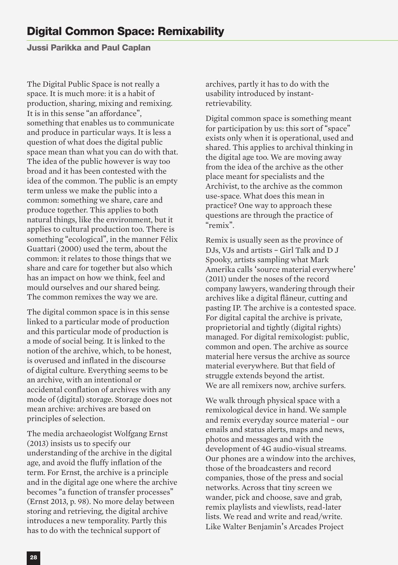**Jussi Parikka and Paul Caplan**

The Digital Public Space is not really a space. It is much more: it is a habit of production, sharing, mixing and remixing. It is in this sense "an affordance", something that enables us to communicate and produce in particular ways. It is less a question of what does the digital public space mean than what you can do with that. The idea of the public however is way too broad and it has been contested with the idea of the common. The public is an empty term unless we make the public into a common: something we share, care and produce together. This applies to both natural things, like the environment, but it applies to cultural production too. There is something "ecological", in the manner Félix Guattari (2000) used the term, about the common: it relates to those things that we share and care for together but also which has an impact on how we think, feel and mould ourselves and our shared being. The common remixes the way we are.

The digital common space is in this sense linked to a particular mode of production and this particular mode of production is a mode of social being. It is linked to the notion of the archive, which, to be honest, is overused and inflated in the discourse of digital culture. Everything seems to be an archive, with an intentional or accidental conflation of archives with any mode of (digital) storage. Storage does not mean archive: archives are based on principles of selection.

The media archaeologist Wolfgang Ernst (2013) insists us to specify our understanding of the archive in the digital age, and avoid the fluffy inflation of the term. For Ernst, the archive is a principle and in the digital age one where the archive becomes "a function of transfer processes" (Ernst 2013, p. 98). No more delay between storing and retrieving, the digital archive introduces a new temporality. Partly this has to do with the technical support of

archives, partly it has to do with the usability introduced by instantretrievability.

Digital common space is something meant for participation by us: this sort of "space" exists only when it is operational, used and shared. This applies to archival thinking in the digital age too. We are moving away from the idea of the archive as the other place meant for specialists and the Archivist, to the archive as the common use-space. What does this mean in practice? One way to approach these questions are through the practice of "remix".

Remix is usually seen as the province of DJs, VJs and artists – Girl Talk and D J Spooky, artists sampling what Mark Amerika calls 'source material everywhere' (2011) under the noses of the record company lawyers, wandering through their archives like a digital flâneur, cutting and pasting IP. The archive is a contested space. For digital capital the archive is private, proprietorial and tightly (digital rights) managed. For digital remixologist: public, common and open. The archive as source material here versus the archive as source material everywhere. But that field of struggle extends beyond the artist. We are all remixers now, archive surfers.

We walk through physical space with a remixological device in hand. We sample and remix everyday source material – our emails and status alerts, maps and news, photos and messages and with the development of 4G audio-visual streams. Our phones are a window into the archives, those of the broadcasters and record companies, those of the press and social networks. Across that tiny screen we wander, pick and choose, save and grab, remix playlists and viewlists, read-later lists. We read and write and read/write. Like Walter Benjamin's Arcades Project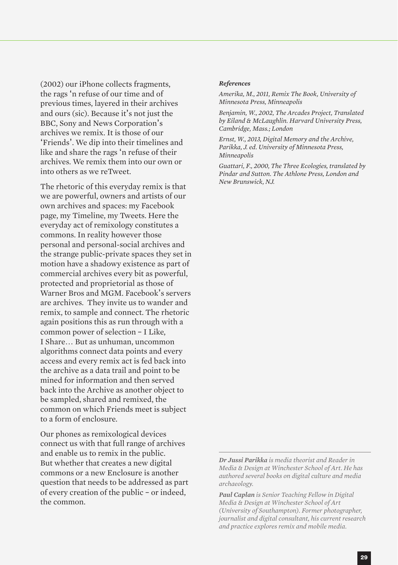(2002) our iPhone collects fragments, the rags 'n refuse of our time and of previous times, layered in their archives and ours (sic). Because it's not just the BBC, Sony and News Corporation's archives we remix. It is those of our 'Friends'. We dip into their timelines and like and share the rags 'n refuse of their archives. We remix them into our own or into others as we reTweet.

The rhetoric of this everyday remix is that we are powerful, owners and artists of our own archives and spaces: my Facebook page, my Timeline, my Tweets. Here the everyday act of remixology constitutes a commons. In reality however those personal and personal-social archives and the strange public-private spaces they set in motion have a shadowy existence as part of commercial archives every bit as powerful, protected and proprietorial as those of Warner Bros and MGM. Facebook's servers are archives. They invite us to wander and remix, to sample and connect. The rhetoric again positions this as run through with a common power of selection – I Like, I Share… But as unhuman, uncommon algorithms connect data points and every access and every remix act is fed back into the archive as a data trail and point to be mined for information and then served back into the Archive as another object to be sampled, shared and remixed, the common on which Friends meet is subject to a form of enclosure.

Our phones as remixological devices connect us with that full range of archives and enable us to remix in the public. But whether that creates a new digital commons or a new Enclosure is another question that needs to be addressed as part of every creation of the public – or indeed, the common.

#### *References*

*Amerika, M., 2011, Remix The Book, University of Minnesota Press, Minneapolis*

*Benjamin, W., 2002, The Arcades Project, Translated by Eiland & McLaughlin. Harvard University Press, Cambridge, Mass.; London*

*Ernst, W., 2013, Digital Memory and the Archive, Parikka, J. ed. University of Minnesota Press, Minneapolis*

*Guattari, F., 2000, The Three Ecologies, translated by Pindar and Sutton. The Athlone Press, London and New Brunswick, NJ.*

*Dr Jussi Parikka is media theorist and Reader in Media & Design at Winchester School of Art. He has authored several books on digital culture and media archaeology.*

*Paul Caplan is Senior Teaching Fellow in Digital Media & Design at Winchester School of Art (University of Southampton). Former photographer, journalist and digital consultant, his current research and practice explores remix and mobile media.*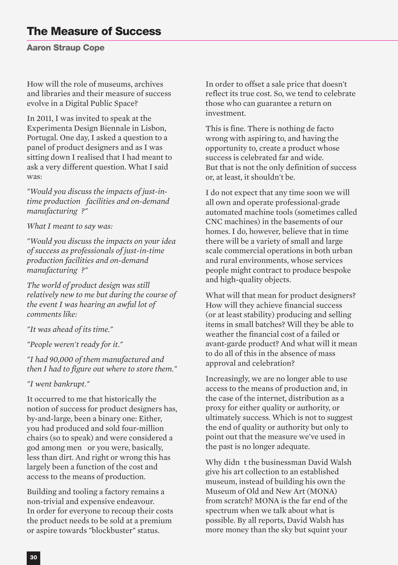**Aaron Straup Cope**

How will the role of museums, archives and libraries and their measure of success evolve in a Digital Public Space?

In 2011, I was invited to speak at the Experimenta Design Biennale in Lisbon, Portugal. One day, I asked a question to a panel of product designers and as I was sitting down I realised that I had meant to ask a very different question. What I said was:

*"Would you discuss the impacts of just-intime production facilities and on-demand manufacturing ?"*

*What I meant to say was:*

*"Would you discuss the impacts on your idea of success as professionals of just-in-time production facilities and on-demand manufacturing ?"*

*The world of product design was still relatively new to me but during the course of the event I was hearing an awful lot of comments like:*

*"It was ahead of its time."*

*"People weren't ready for it."*

*"I had 90,000 of them manufactured and then I had to figure out where to store them."*

*"I went bankrupt."*

It occurred to me that historically the notion of success for product designers has, by-and-large, been a binary one: Either, you had produced and sold four-million chairs (so to speak) and were considered a god among men or you were, basically, less than dirt. And right or wrong this has largely been a function of the cost and access to the means of production.

Building and tooling a factory remains a non-trivial and expensive endeavour. In order for everyone to recoup their costs the product needs to be sold at a premium or aspire towards "blockbuster" status.

In order to offset a sale price that doesn't reflect its true cost. So, we tend to celebrate those who can guarantee a return on investment.

This is fine. There is nothing de facto wrong with aspiring to, and having the opportunity to, create a product whose success is celebrated far and wide. But that is not the only definition of success or, at least, it shouldn't be.

I do not expect that any time soon we will all own and operate professional-grade automated machine tools (sometimes called CNC machines) in the basements of our homes. I do, however, believe that in time there will be a variety of small and large scale commercial operations in both urban and rural environments, whose services people might contract to produce bespoke and high-quality objects.

What will that mean for product designers? How will they achieve financial success (or at least stability) producing and selling items in small batches? Will they be able to weather the financial cost of a failed or avant-garde product? And what will it mean to do all of this in the absence of mass approval and celebration?

Increasingly, we are no longer able to use access to the means of production and, in the case of the internet, distribution as a proxy for either quality or authority, or ultimately success. Which is not to suggest the end of quality or authority but only to point out that the measure we've used in the past is no longer adequate.

Why didn t the businessman David Walsh give his art collection to an established museum, instead of building his own the Museum of Old and New Art (MONA) from scratch? MONA is the far end of the spectrum when we talk about what is possible. By all reports, David Walsh has more money than the sky but squint your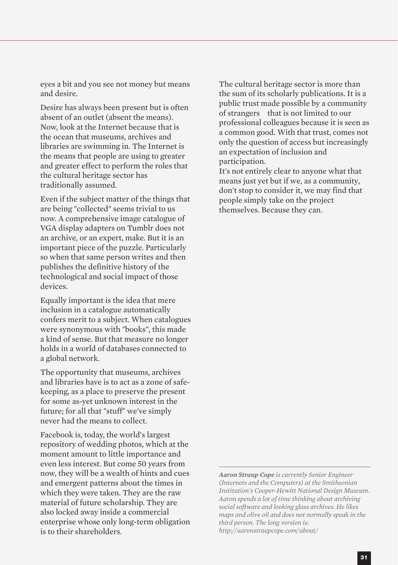eyes a bit and you see not money but means and desire.

Desire has always been present but is often absent of an outlet (absent the means). Now, look at the Internet because that is the ocean that museums, archives and libraries are swimming in. The Internet is the means that people are using to greater and greater effect to perform the roles that the cultural heritage sector has traditionally assumed.

Even if the subject matter of the things that are being "collected" seems trivial to us now. A comprehensive image catalogue of VGA display adapters on Tumblr does not an archive, or an expert, make. But it is an important piece of the puzzle. Particularly so when that same person writes and then publishes the definitive history of the technological and social impact of those devices.

Equally important is the idea that mere inclusion in a catalogue automatically confers merit to a subject. When catalogues were synonymous with "books", this made a kind of sense. But that measure no longer holds in a world of databases connected to a global network.

The opportunity that museums, archives and libraries have is to act as a zone of safekeeping, as a place to preserve the present for some as-yet unknown interest in the future; for all that "stuff" we've simply never had the means to collect.

Facebook is, today, the world's largest repository of wedding photos, which at the moment amount to little importance and even less interest. But come 50 years from now, they will be a wealth of hints and cues and emergent patterns about the times in which they were taken. They are the raw material of future scholarship. They are also locked away inside a commercial enterprise whose only long-term obligation is to their shareholders.

The cultural heritage sector is more than the sum of its scholarly publications. It is a public trust made possible by a community of strangers that is not limited to our professional colleagues because it is seen as a common good. With that trust, comes not only the question of access but increasingly an expectation of inclusion and participation.

It's not entirely clear to anyone what that means just yet but if we, as a community, don't stop to consider it, we may find that people simply take on the project themselves. Because they can.

*Aaron Straup Cope is currently Senior Engineer (Internets and the Computers) at the Smithsonian Institution's Cooper-Hewitt National Design Museum. Aaron spends a lot of time thinking about archiving social software and looking glass archives. He likes maps and olive oil and does not normally speak in the third person. The long version is: http://aaronstraupcope.com/about/*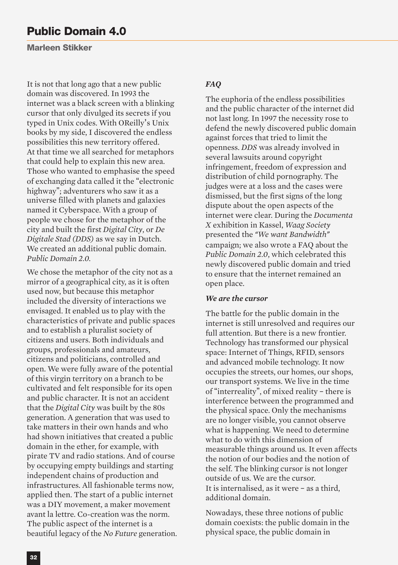**Marleen Stikker**

It is not that long ago that a new public domain was discovered. In 1993 the internet was a black screen with a blinking cursor that only divulged its secrets if you typed in Unix codes. With OReilly's Unix books by my side, I discovered the endless possibilities this new territory offered. At that time we all searched for metaphors that could help to explain this new area. Those who wanted to emphasise the speed of exchanging data called it the "electronic highway"; adventurers who saw it as a universe filled with planets and galaxies named it Cyberspace. With a group of people we chose for the metaphor of the city and built the first *Digital City*, or *De Digitale Stad (DDS)* as we say in Dutch. We created an additional public domain. *Public Domain 2.0.*

We chose the metaphor of the city not as a mirror of a geographical city, as it is often used now, but because this metaphor included the diversity of interactions we envisaged. It enabled us to play with the characteristics of private and public spaces and to establish a pluralist society of citizens and users. Both individuals and groups, professionals and amateurs, citizens and politicians, controlled and open. We were fully aware of the potential of this virgin territory on a branch to be cultivated and felt responsible for its open and public character. It is not an accident that the *Digital City* was built by the 80s generation. A generation that was used to take matters in their own hands and who had shown initiatives that created a public domain in the ether, for example, with pirate TV and radio stations. And of course by occupying empty buildings and starting independent chains of production and infrastructures. All fashionable terms now, applied then. The start of a public internet was a DIY movement, a maker movement avant la lettre. Co-creation was the norm. The public aspect of the internet is a beautiful legacy of the *No Future* generation.

#### *FAQ*

The euphoria of the endless possibilities and the public character of the internet did not last long. In 1997 the necessity rose to defend the newly discovered public domain against forces that tried to limit the openness. *DDS* was already involved in several lawsuits around copyright infringement, freedom of expression and distribution of child pornography. The judges were at a loss and the cases were dismissed, but the first signs of the long dispute about the open aspects of the internet were clear. During the *Documenta X* exhibition in Kassel, *Waag Society* presented the *"We want Bandwidth"* campaign; we also wrote a FAQ about the *Public Domain 2.0*, which celebrated this newly discovered public domain and tried to ensure that the internet remained an open place.

#### *We are the cursor*

The battle for the public domain in the internet is still unresolved and requires our full attention. But there is a new frontier. Technology has transformed our physical space: Internet of Things, RFID, sensors and advanced mobile technology. It now occupies the streets, our homes, our shops, our transport systems. We live in the time of "interreality", of mixed reality – there is interference between the programmed and the physical space. Only the mechanisms are no longer visible, you cannot observe what is happening. We need to determine what to do with this dimension of measurable things around us. It even affects the notion of our bodies and the notion of the self. The blinking cursor is not longer outside of us. We are the cursor. It is internalised, as it were – as a third, additional domain.

Nowadays, these three notions of public domain coexists: the public domain in the physical space, the public domain in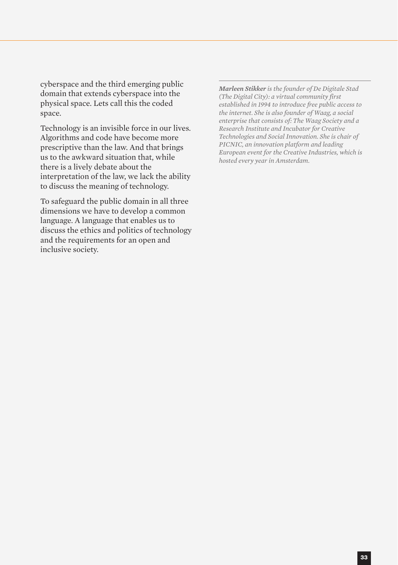cyberspace and the third emerging public domain that extends cyberspace into the physical space. Lets call this the coded space.

Technology is an invisible force in our lives. Algorithms and code have become more prescriptive than the law. And that brings us to the awkward situation that, while there is a lively debate about the interpretation of the law, we lack the ability to discuss the meaning of technology.

To safeguard the public domain in all three dimensions we have to develop a common language. A language that enables us to discuss the ethics and politics of technology and the requirements for an open and inclusive society.

*Marleen Stikker is the founder of De Digitale Stad (The Digital City): a virtual community first established in 1994 to introduce free public access to the internet. She is also founder of Waag, a social enterprise that consists of: The Waag Society and a Research Institute and Incubator for Creative Technologies and Social Innovation. She is chair of PICNIC, an innovation platform and leading European event for the Creative Industries, which is hosted every year in Amsterdam.*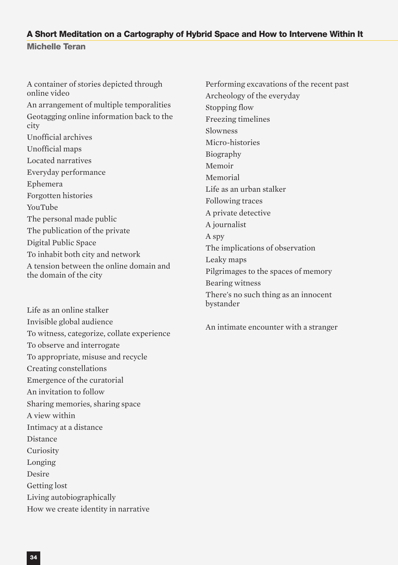#### **A Short Meditation on a Cartography of Hybrid Space and How to Intervene Within It**

**Michelle Teran**

A container of stories depicted through online video An arrangement of multiple temporalities Geotagging online information back to the city Unofficial archives Unofficial maps Located narratives Everyday performance Ephemera Forgotten histories YouTube The personal made public The publication of the private Digital Public Space To inhabit both city and network A tension between the online domain and the domain of the city

Life as an online stalker Invisible global audience To witness, categorize, collate experience To observe and interrogate To appropriate, misuse and recycle Creating constellations Emergence of the curatorial An invitation to follow Sharing memories, sharing space A view within Intimacy at a distance Distance Curiosity Longing Desire Getting lost Living autobiographically How we create identity in narrative

Performing excavations of the recent past Archeology of the everyday Stopping flow Freezing timelines Slowness Micro-histories Biography Memoir Memorial Life as an urban stalker Following traces A private detective A journalist A spy The implications of observation Leaky maps Pilgrimages to the spaces of memory Bearing witness There's no such thing as an innocent bystander

An intimate encounter with a stranger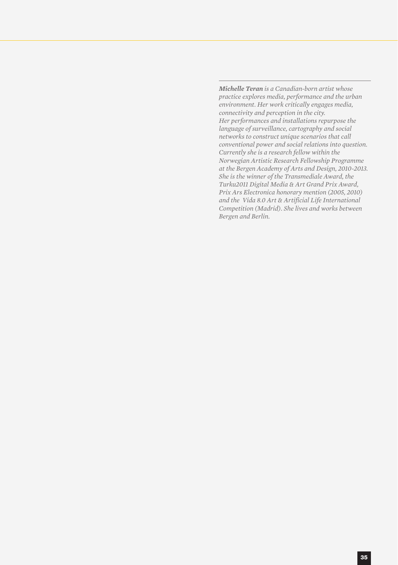*Michelle Teran is a Canadian-born artist whose practice explores media, performance and the urban environment. Her work critically engages media, connectivity and perception in the city. Her performances and installations repurpose the language of surveillance, cartography and social networks to construct unique scenarios that call conventional power and social relations into question. Currently she is a research fellow within the Norwegian Artistic Research Fellowship Programme at the Bergen Academy of Arts and Design, 2010-2013. She is the winner of the Transmediale Award, the Turku2011 Digital Media & Art Grand Prix Award, Prix Ars Electronica honorary mention (2005, 2010) and the Vida 8.0 Art & Artificial Life International Competition (Madrid). She lives and works between Bergen and Berlin.*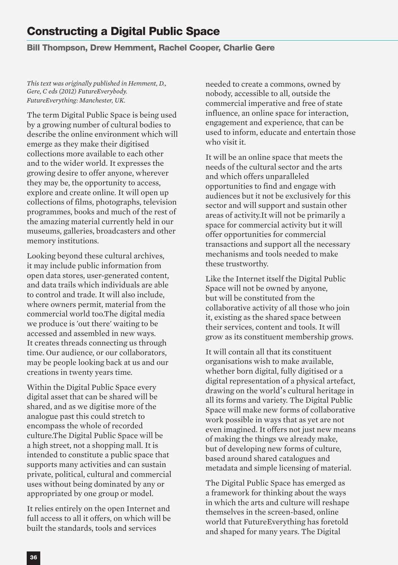# **Constructing a Digital Public Space**

#### **Bill Thompson, Drew Hemment, Rachel Cooper, Charlie Gere**

*This text was originally published in Hemment, D., Gere, C eds (2012) FutureEverybody. FutureEverything: Manchester, UK.*

The term Digital Public Space is being used by a growing number of cultural bodies to describe the online environment which will emerge as they make their digitised collections more available to each other and to the wider world. It expresses the growing desire to offer anyone, wherever they may be, the opportunity to access, explore and create online. It will open up collections of films, photographs, television programmes, books and much of the rest of the amazing material currently held in our museums, galleries, broadcasters and other memory institutions.

Looking beyond these cultural archives, it may include public information from open data stores, user-generated content, and data trails which individuals are able to control and trade. It will also include, where owners permit, material from the commercial world too.The digital media we produce is 'out there' waiting to be accessed and assembled in new ways. It creates threads connecting us through time. Our audience, or our collaborators, may be people looking back at us and our creations in twenty years time.

Within the Digital Public Space every digital asset that can be shared will be shared, and as we digitise more of the analogue past this could stretch to encompass the whole of recorded culture.The Digital Public Space will be a high street, not a shopping mall. It is intended to constitute a public space that supports many activities and can sustain private, political, cultural and commercial uses without being dominated by any or appropriated by one group or model.

It relies entirely on the open Internet and full access to all it offers, on which will be built the standards, tools and services

needed to create a commons, owned by nobody, accessible to all, outside the commercial imperative and free of state influence, an online space for interaction, engagement and experience, that can be used to inform, educate and entertain those who visit it.

It will be an online space that meets the needs of the cultural sector and the arts and which offers unparalleled opportunities to find and engage with audiences but it not be exclusively for this sector and will support and sustain other areas of activity.It will not be primarily a space for commercial activity but it will offer opportunities for commercial transactions and support all the necessary mechanisms and tools needed to make these trustworthy.

Like the Internet itself the Digital Public Space will not be owned by anyone, but will be constituted from the collaborative activity of all those who join it, existing as the shared space between their services, content and tools. It will grow as its constituent membership grows.

It will contain all that its constituent organisations wish to make available, whether born digital, fully digitised or a digital representation of a physical artefact, drawing on the world's cultural heritage in all its forms and variety. The Digital Public Space will make new forms of collaborative work possible in ways that as yet are not even imagined. It offers not just new means of making the things we already make, but of developing new forms of culture, based around shared catalogues and metadata and simple licensing of material.

The Digital Public Space has emerged as a framework for thinking about the ways in which the arts and culture will reshape themselves in the screen-based, online world that FutureEverything has foretold and shaped for many years. The Digital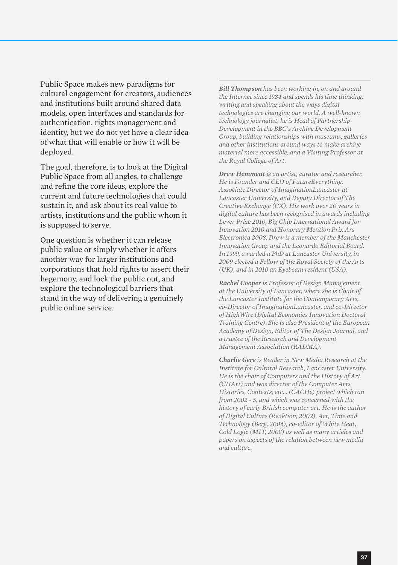Public Space makes new paradigms for cultural engagement for creators, audiences and institutions built around shared data models, open interfaces and standards for authentication, rights management and identity, but we do not yet have a clear idea of what that will enable or how it will be deployed.

The goal, therefore, is to look at the Digital Public Space from all angles, to challenge and refine the core ideas, explore the current and future technologies that could sustain it, and ask about its real value to artists, institutions and the public whom it is supposed to serve.

One question is whether it can release public value or simply whether it offers another way for larger institutions and corporations that hold rights to assert their hegemony, and lock the public out, and explore the technological barriers that stand in the way of delivering a genuinely public online service.

*Bill Thompson has been working in, on and around the Internet since 1984 and spends his time thinking, writing and speaking about the ways digital technologies are changing our world. A well-known technology journalist, he is Head of Partnership Development in the BBC's Archive Development Group, building relationships with museums, galleries and other institutions around ways to make archive material more accessible, and a Visiting Professor at the Royal College of Art.*

*Drew Hemment is an artist, curator and researcher. He is Founder and CEO of FutureEverything, Associate Director of ImaginationLancaster at Lancaster University, and Deputy Director of The Creative Exchange (CX). His work over 20 years in digital culture has been recognised in awards including Lever Prize 2010, Big Chip International Award for Innovation 2010 and Honorary Mention Prix Ars Electronica 2008. Drew is a member of the Manchester Innovation Group and the Leonardo Editorial Board. In 1999, awarded a PhD at Lancaster University, in 2009 elected a Fellow of the Royal Society of the Arts (UK), and in 2010 an Eyebeam resident (USA).*

*Rachel Cooper is Professor of Design Management at the University of Lancaster, where she is Chair of the Lancaster Institute for the Contemporary Arts, co-Director of ImaginationLancaster, and co-Director of HighWire (Digital Economies Innovation Doctoral Training Centre). She is also President of the European Academy of Design, Editor of The Design Journal, and a trustee of the Research and Development Management Association (RADMA).*

*Charlie Gere is Reader in New Media Research at the Institute for Cultural Research, Lancaster University. He is the chair of Computers and the History of Art (CHArt) and was director of the Computer Arts, Histories, Contexts, etc... (CACHe) project which ran from 2002 - 5, and which was concerned with the history of early British computer art. He is the author of Digital Culture (Reaktion, 2002), Art, Time and Technology (Berg, 2006), co-editor of White Heat, Cold Logic (MIT, 2008) as well as many articles and papers on aspects of the relation between new media and culture.*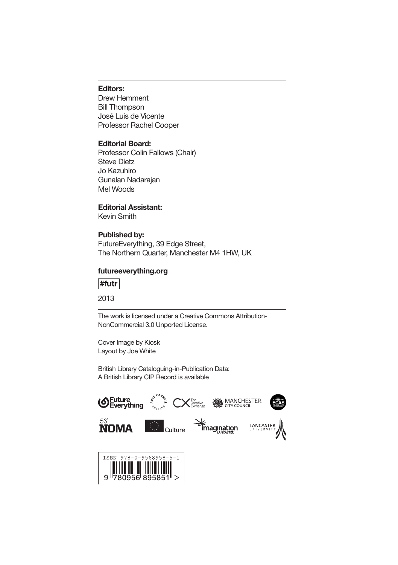#### **Editors:**

Drew Hemment Bill Thompson José Luis de Vicente Professor Rachel Cooper

#### **Editorial Board:**

Professor Colin Fallows (Chair) Steve Dietz Jo Kazuhiro Gunalan Nadarajan Mel Woods

#### **Editorial Assistant:**

Kevin Smith

#### **Published by:**

FutureEverything, 39 Edge Street, The Northern Quarter, Manchester M4 1HW, UK

#### **futureeverything.org**

#futr

2013

The work is licensed under a Creative Commons Attribution-NonCommercial 3.0 Unported License.

Cover Image by Kiosk Layout by Joe White

British Library Cataloguing-in-Publication Data: A British Library CIP Record is available